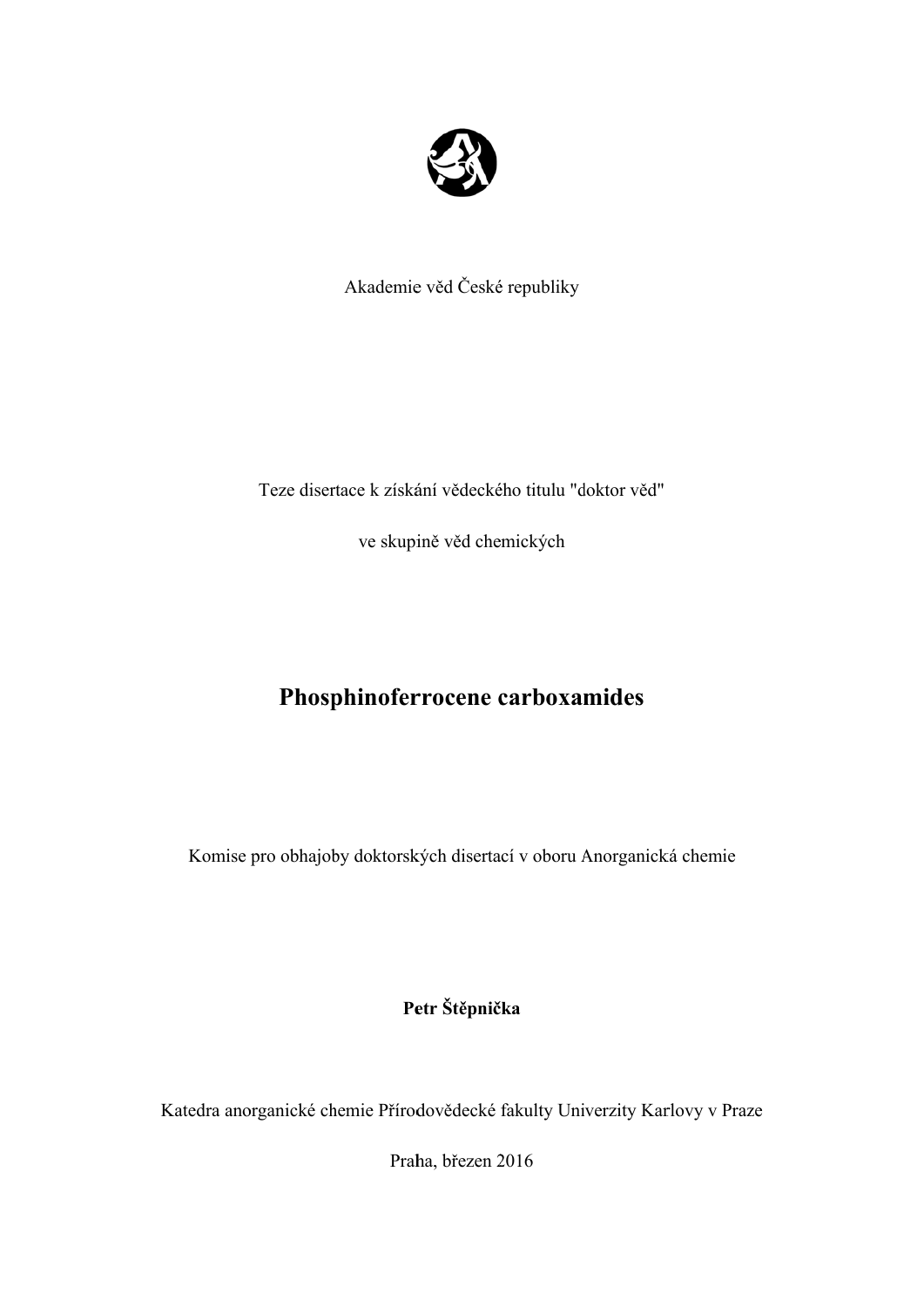

Akademie e věd České é republiky

Teze disertace k získání vědeckého titulu "doktor věd"

ve skupině věd chemických

# **Phosphinoferrocene carboxamides**

Komise pro obhajoby doktorských disertací v oboru Anorganická chemie

**Pe etr Štěpnič ka** 

Katedra anorganické chemie Přírodovědecké fakulty Univerzity Karlovy v Praze

Praha, březen 2016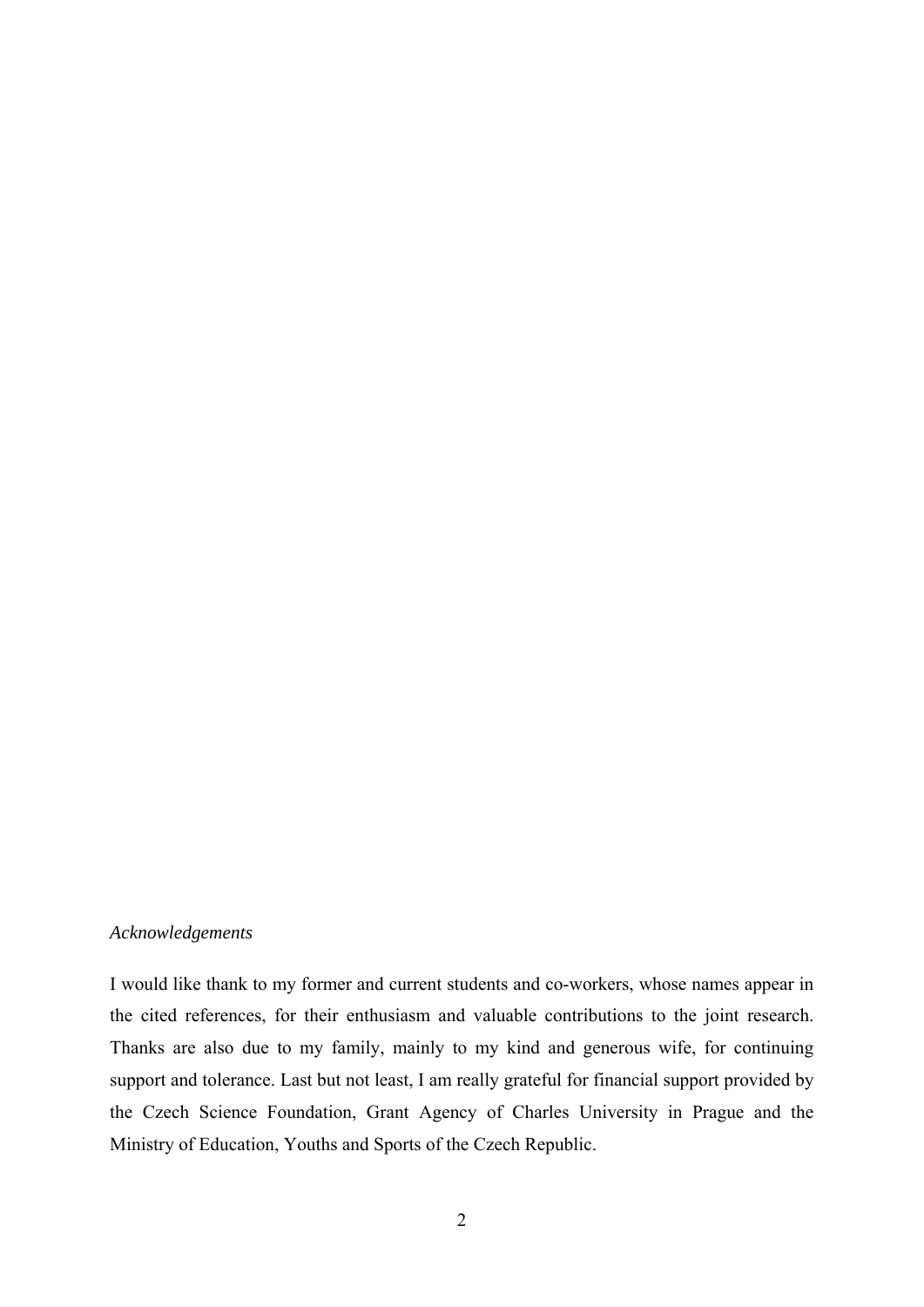# *Acknowledgements*

I would like thank to my former and current students and co-workers, whose names appear in the cited references, for their enthusiasm and valuable contributions to the joint research. Thanks are also due to my family, mainly to my kind and generous wife, for continuing support and tolerance. Last but not least, I am really grateful for financial support provided by the Czech Science Foundation, Grant Agency of Charles University in Prague and the Ministry of Education, Youths and Sports of the Czech Republic.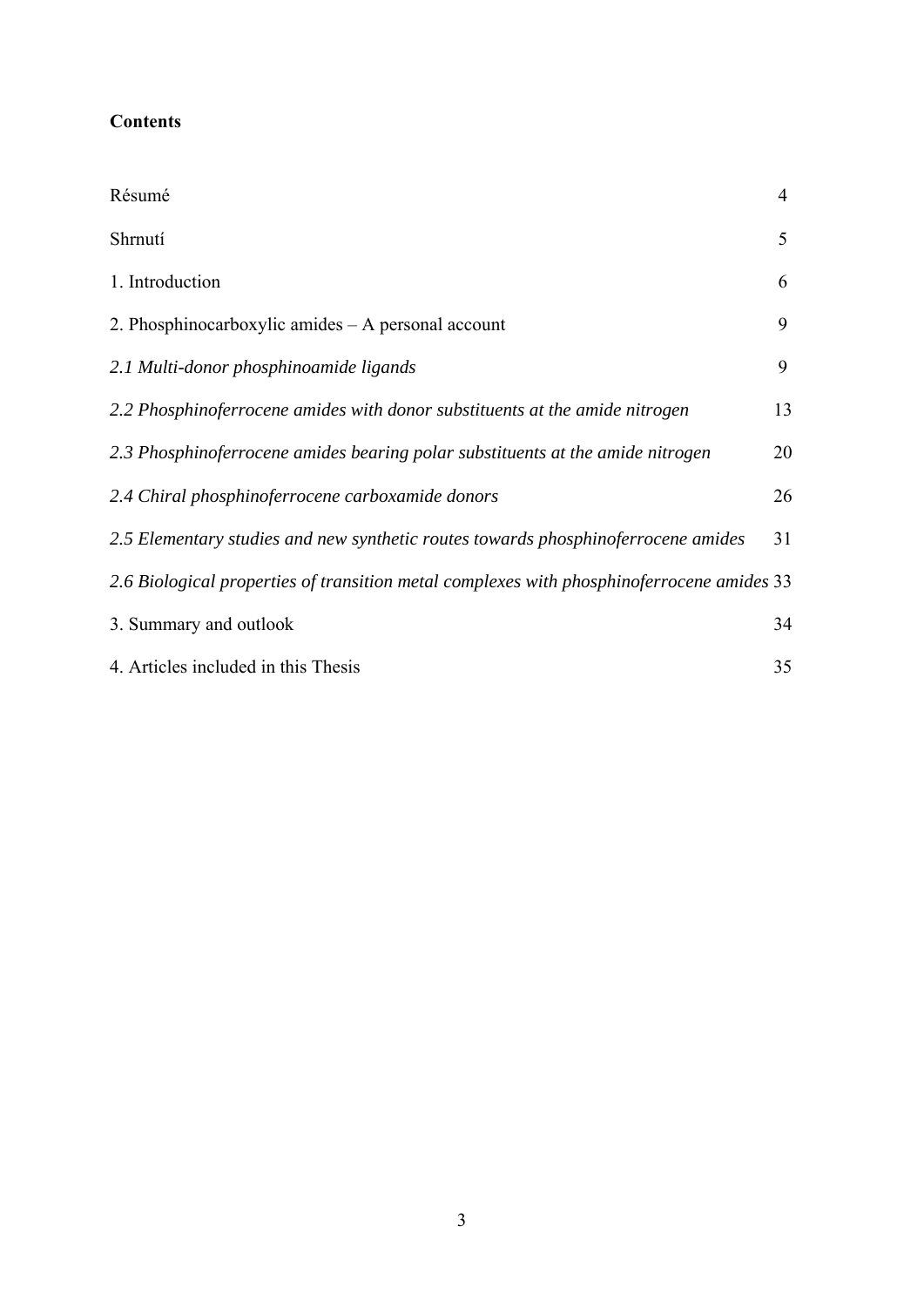| Résumé                                                                                    | $\overline{4}$ |
|-------------------------------------------------------------------------------------------|----------------|
| Shrnutí                                                                                   | 5              |
| 1. Introduction                                                                           | 6              |
| 2. Phosphinocarboxylic amides – A personal account                                        | 9              |
| 2.1 Multi-donor phosphinoamide ligands                                                    | 9              |
| 2.2 Phosphinoferrocene amides with donor substituents at the amide nitrogen               | 13             |
| 2.3 Phosphinoferrocene amides bearing polar substituents at the amide nitrogen            | 20             |
| 2.4 Chiral phosphinoferrocene carboxamide donors                                          | 26             |
| 2.5 Elementary studies and new synthetic routes towards phosphinoferrocene amides         | 31             |
| 2.6 Biological properties of transition metal complexes with phosphinoferrocene amides 33 |                |
| 3. Summary and outlook                                                                    | 34             |
| 4. Articles included in this Thesis                                                       | 35             |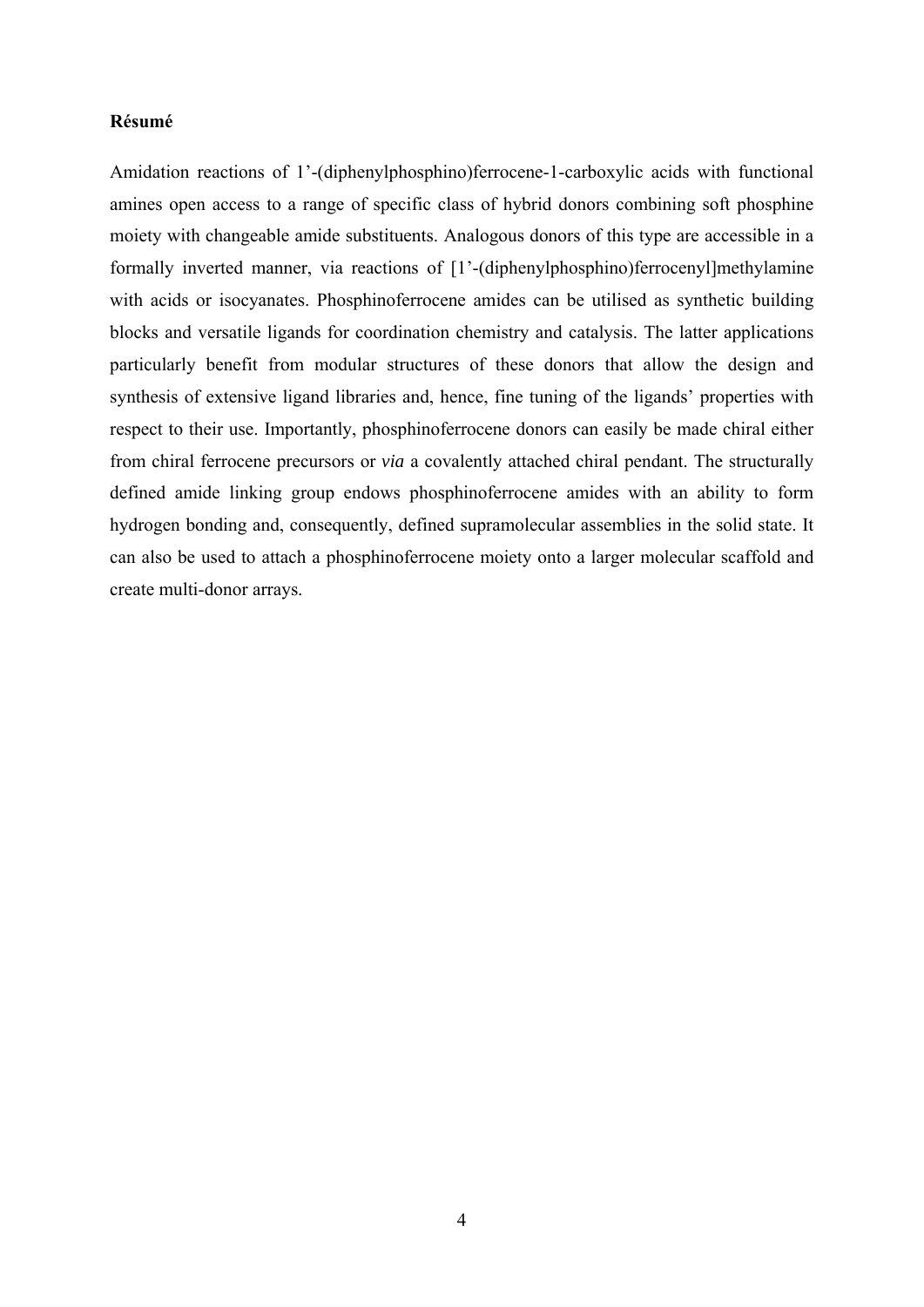# **Résumé**

Amidation reactions of 1'-(diphenylphosphino)ferrocene-1-carboxylic acids with functional amines open access to a range of specific class of hybrid donors combining soft phosphine moiety with changeable amide substituents. Analogous donors of this type are accessible in a formally inverted manner, via reactions of [1'-(diphenylphosphino)ferrocenyl]methylamine with acids or isocyanates. Phosphinoferrocene amides can be utilised as synthetic building blocks and versatile ligands for coordination chemistry and catalysis. The latter applications particularly benefit from modular structures of these donors that allow the design and synthesis of extensive ligand libraries and, hence, fine tuning of the ligands' properties with respect to their use. Importantly, phosphinoferrocene donors can easily be made chiral either from chiral ferrocene precursors or *via* a covalently attached chiral pendant. The structurally defined amide linking group endows phosphinoferrocene amides with an ability to form hydrogen bonding and, consequently, defined supramolecular assemblies in the solid state. It can also be used to attach a phosphinoferrocene moiety onto a larger molecular scaffold and create multi-donor arrays.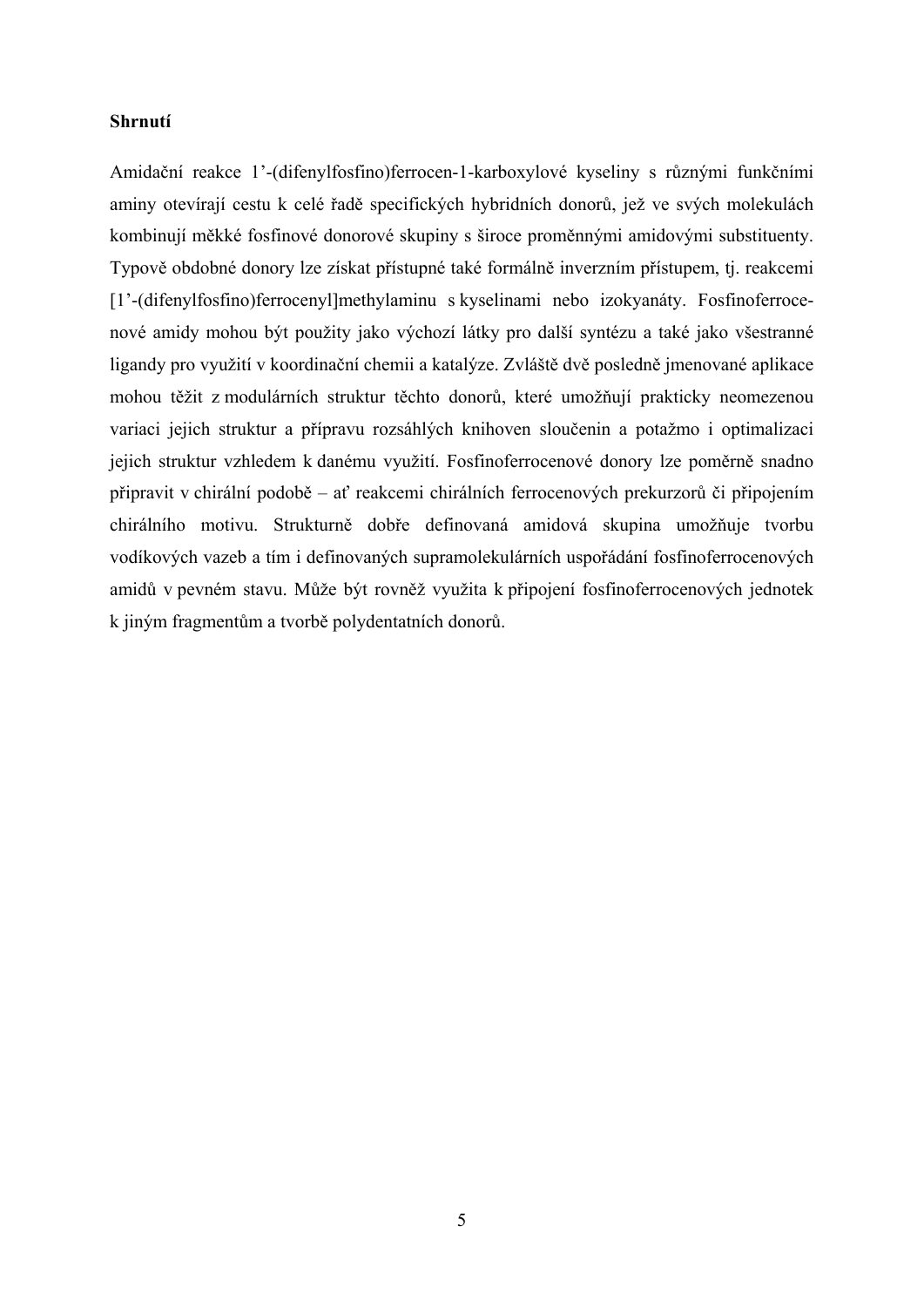# **Shrnutí**

Amidační reakce 1'-(difenylfosfino)ferrocen-1-karboxylové kyseliny s různými funkčními aminy otevírají cestu k celé řadě specifických hybridních donorů, jež ve svých molekulách kombinují měkké fosfinové donorové skupiny s široce proměnnými amidovými substituenty. Typově obdobné donory lze získat přístupné také formálně inverzním přístupem, tj. reakcemi [1'-(difenylfosfino)ferrocenyl]methylaminu s kyselinami nebo izokyanáty. Fosfinoferrocenové amidy mohou být použity jako výchozí látky pro další syntézu a také jako všestranné ligandy pro využití v koordinační chemii a katalýze. Zvláště dvě posledně jmenované aplikace mohou těžit z modulárních struktur těchto donorů, které umožňují prakticky neomezenou variaci jejich struktur a přípravu rozsáhlých knihoven sloučenin a potažmo i optimalizaci jejich struktur vzhledem k danému využití. Fosfinoferrocenové donory lze poměrně snadno připravit v chirální podobě – ať reakcemi chirálních ferrocenových prekurzorů či připojením chirálního motivu. Strukturně dobře definovaná amidová skupina umožňuje tvorbu vodíkových vazeb a tím i definovaných supramolekulárních uspořádání fosfinoferrocenových amidů v pevném stavu. Může být rovněž využita k připojení fosfinoferrocenových jednotek k jiným fragmentům a tvorbě polydentatních donorů.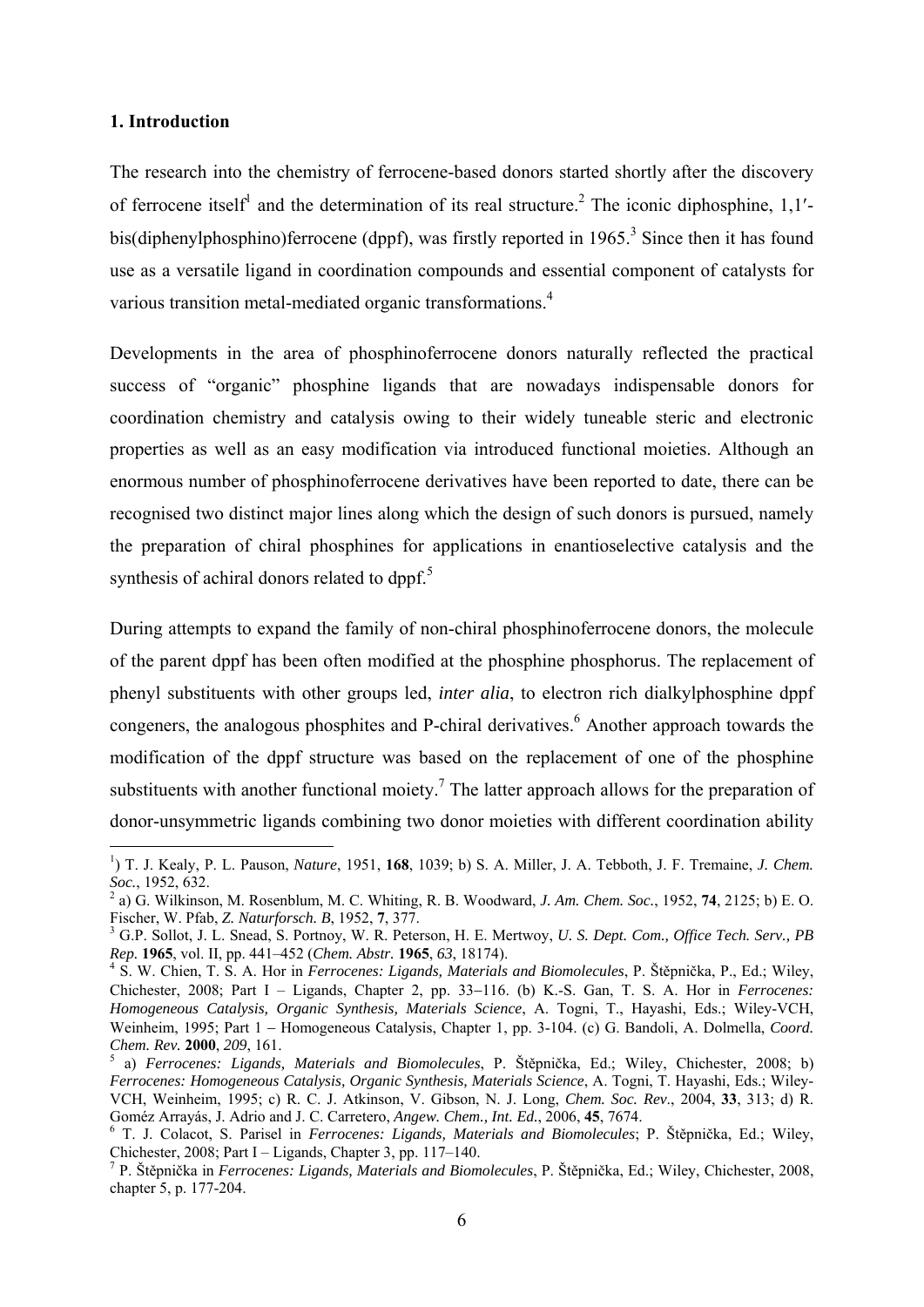## **1. Introduction**

1

The research into the chemistry of ferrocene-based donors started shortly after the discovery of ferrocene itself<sup>1</sup> and the determination of its real structure.<sup>2</sup> The iconic diphosphine, 1,1'bis(diphenylphosphino)ferrocene (dppf), was firstly reported in 1965.<sup>3</sup> Since then it has found use as a versatile ligand in coordination compounds and essential component of catalysts for various transition metal-mediated organic transformations.<sup>4</sup>

Developments in the area of phosphinoferrocene donors naturally reflected the practical success of "organic" phosphine ligands that are nowadays indispensable donors for coordination chemistry and catalysis owing to their widely tuneable steric and electronic properties as well as an easy modification via introduced functional moieties. Although an enormous number of phosphinoferrocene derivatives have been reported to date, there can be recognised two distinct major lines along which the design of such donors is pursued, namely the preparation of chiral phosphines for applications in enantioselective catalysis and the synthesis of achiral donors related to dppf. $5$ 

During attempts to expand the family of non-chiral phosphinoferrocene donors, the molecule of the parent dppf has been often modified at the phosphine phosphorus. The replacement of phenyl substituents with other groups led, *inter alia*, to electron rich dialkylphosphine dppf congeners, the analogous phosphites and P-chiral derivatives.<sup>6</sup> Another approach towards the modification of the dppf structure was based on the replacement of one of the phosphine substituents with another functional moiety.<sup>7</sup> The latter approach allows for the preparation of donor-unsymmetric ligands combining two donor moieties with different coordination ability

<sup>1</sup> ) T. J. Kealy, P. L. Pauson, *Nature*, 1951, **168**, 1039; b) S. A. Miller, J. A. Tebboth, J. F. Tremaine, *J. Chem. Soc.*, 1952, 632.

a) G. Wilkinson, M. Rosenblum, M. C. Whiting, R. B. Woodward, *J. Am. Chem. Soc.*, 1952, **74**, 2125; b) E. O. Fischer, W. Pfab, *Z. Naturforsch. B*, 1952, **7**, 377. 3

G.P. Sollot, J. L. Snead, S. Portnoy, W. R. Peterson, H. E. Mertwoy, *U. S. Dept. Com., Office Tech. Serv., PB Rep.* **<sup>1965</sup>**, vol. II, pp. 441–452 (*Chem. Abstr.* **<sup>1965</sup>**, *63*, 18174). 4

S. W. Chien, T. S. A. Hor in *Ferrocenes: Ligands, Materials and Biomolecules*, P. Štěpnička, P., Ed.; Wiley, Chichester, 2008; Part I – Ligands, Chapter 2, pp. 33–116. (b) K.-S. Gan, T. S. A. Hor in *Ferrocenes: Homogeneous Catalysis, Organic Synthesis, Materials Science*, A. Togni, T., Hayashi, Eds.; Wiley-VCH, Weinheim, 1995; Part 1 - Homogeneous Catalysis, Chapter 1, pp. 3-104. (c) G. Bandoli, A. Dolmella, *Coord. Chem. Rev.* **2000**, 209, 161.

a) *Ferrocenes: Ligands, Materials and Biomolecules*, P. Štěpnička, Ed.; Wiley, Chichester, 2008; b) *Ferrocenes: Homogeneous Catalysis, Organic Synthesis, Materials Science*, A. Togni, T. Hayashi, Eds.; Wiley-VCH, Weinheim, 1995; c) R. C. J. Atkinson, V. Gibson, N. J. Long, *Chem. Soc. Rev*., 2004, **33**, 313; d) R. Goméz Arrayás, J. Adrio and J. C. Carretero, *Angew. Chem., Int. Ed.*, 2006, **45**, 7674. 6

T. J. Colacot, S. Parisel in *Ferrocenes: Ligands, Materials and Biomolecules*; P. Štěpnička, Ed.; Wiley, Chichester, 2008; Part I – Ligands, Chapter 3, pp. 117–140.

<sup>7</sup> P. Štěpnička in *Ferrocenes: Ligands, Materials and Biomolecules*, P. Štěpnička, Ed.; Wiley, Chichester, 2008, chapter 5, p. 177-204.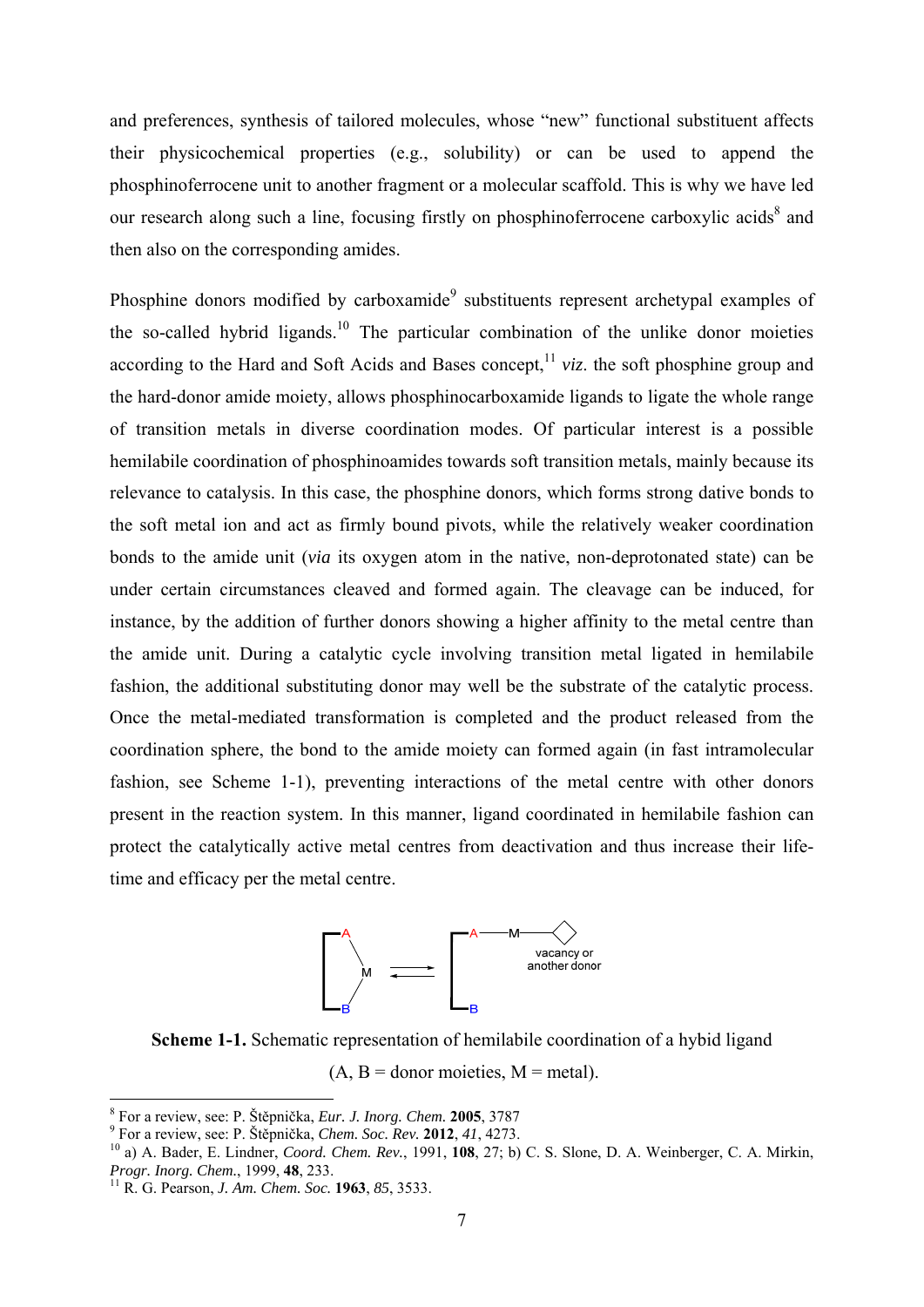and preferences, synthesis of tailored molecules, whose "new" functional substituent affects their physicochemical properties (e.g., solubility) or can be used to append the phosphinoferrocene unit to another fragment or a molecular scaffold. This is why we have led our research along such a line, focusing firstly on phosphinoferrocene carboxylic acids<sup>8</sup> and then also on the corresponding amides.

Phosphine donors modified by carboxamide<sup>9</sup> substituents represent archetypal examples of the so-called hybrid ligands.<sup>10</sup> The particular combination of the unlike donor moieties according to the Hard and Soft Acids and Bases concept,  $\frac{11}{11}$  *viz*. the soft phosphine group and the hard-donor amide moiety, allows phosphinocarboxamide ligands to ligate the whole range of transition metals in diverse coordination modes. Of particular interest is a possible hemilabile coordination of phosphinoamides towards soft transition metals, mainly because its relevance to catalysis. In this case, the phosphine donors, which forms strong dative bonds to the soft metal ion and act as firmly bound pivots, while the relatively weaker coordination bonds to the amide unit (*via* its oxygen atom in the native, non-deprotonated state) can be under certain circumstances cleaved and formed again. The cleavage can be induced, for instance, by the addition of further donors showing a higher affinity to the metal centre than the amide unit. During a catalytic cycle involving transition metal ligated in hemilabile fashion, the additional substituting donor may well be the substrate of the catalytic process. Once the metal-mediated transformation is completed and the product released from the coordination sphere, the bond to the amide moiety can formed again (in fast intramolecular fashion, see Scheme 1-1), preventing interactions of the metal centre with other donors present in the reaction system. In this manner, ligand coordinated in hemilabile fashion can protect the catalytically active metal centres from deactivation and thus increase their lifetime and efficacy per the metal centre.



**Scheme 1-1.** Schematic representation of hemilabile coordination of a hybid ligand

 $(A, B =$  donor moieties,  $M =$  metal).

<sup>&</sup>lt;sup>8</sup> For a review, see: P. Štěpnička, *Eur. J. Inorg. Chem.* **2005**, 3787<br><sup>9</sup> For a raview, see: B. Štěpniška, *Chem. See, Ben.* **2012**, 41, 4272

For a review, see: P. Štěpnička, *Chem. Soc. Rev.* **2012**, *41*, 4273.<br><sup>10</sup> a) A. Bader, E. Lindner, *Coord. Chem. Rev.*, 1991, **108**, 27; b) C. S. Slone, D. A. Weinberger, C. A. Mirkin, *Progr. Inorg. Chem.*, 1999, **48**,

*Progr. Inorg. Chem.*, 1999, **48**, 233. 11 R. G. Pearson, *J. Am. Chem. Soc.* **<sup>1963</sup>**, *85*, 3533.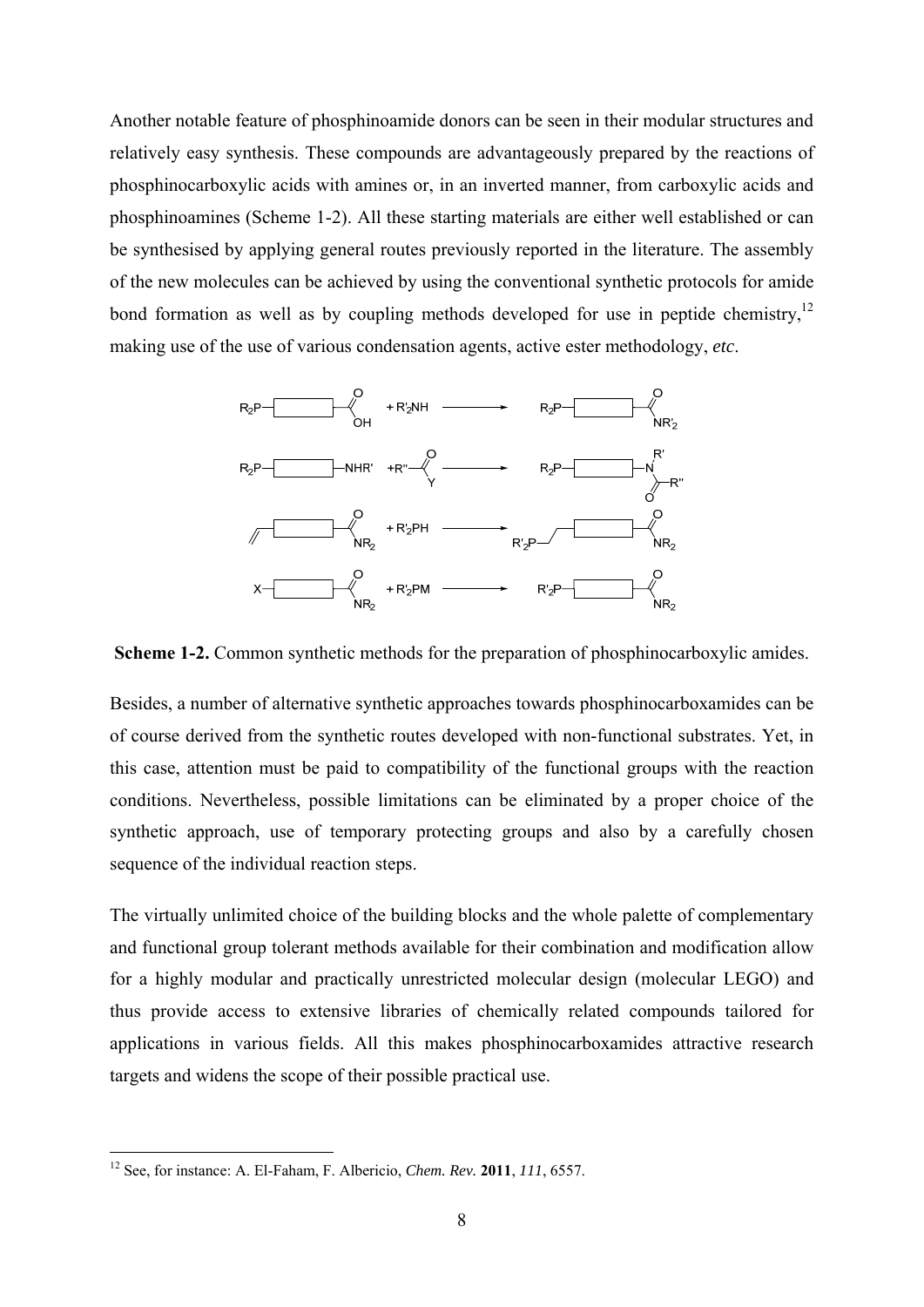Another notable feature of phosphinoamide donors can be seen in their modular structures and relatively easy synthesis. These compounds are advantageously prepared by the reactions of phosphinocarboxylic acids with amines or, in an inverted manner, from carboxylic acids and phosphinoamines (Scheme 1-2). All these starting materials are either well established or can be synthesised by applying general routes previously reported in the literature. The assembly of the new molecules can be achieved by using the conventional synthetic protocols for amide bond formation as well as by coupling methods developed for use in peptide chemistry,  $12$ making use of the use of various condensation agents, active ester methodology, *etc*.



**Scheme 1-2.** Common synthetic methods for the preparation of phosphinocarboxylic amides.

Besides, a number of alternative synthetic approaches towards phosphinocarboxamides can be of course derived from the synthetic routes developed with non-functional substrates. Yet, in this case, attention must be paid to compatibility of the functional groups with the reaction conditions. Nevertheless, possible limitations can be eliminated by a proper choice of the synthetic approach, use of temporary protecting groups and also by a carefully chosen sequence of the individual reaction steps.

The virtually unlimited choice of the building blocks and the whole palette of complementary and functional group tolerant methods available for their combination and modification allow for a highly modular and practically unrestricted molecular design (molecular LEGO) and thus provide access to extensive libraries of chemically related compounds tailored for applications in various fields. All this makes phosphinocarboxamides attractive research targets and widens the scope of their possible practical use.

<sup>12</sup> See, for instance: A. El-Faham, F. Albericio, *Chem. Rev.* **2011**, *111*, 6557.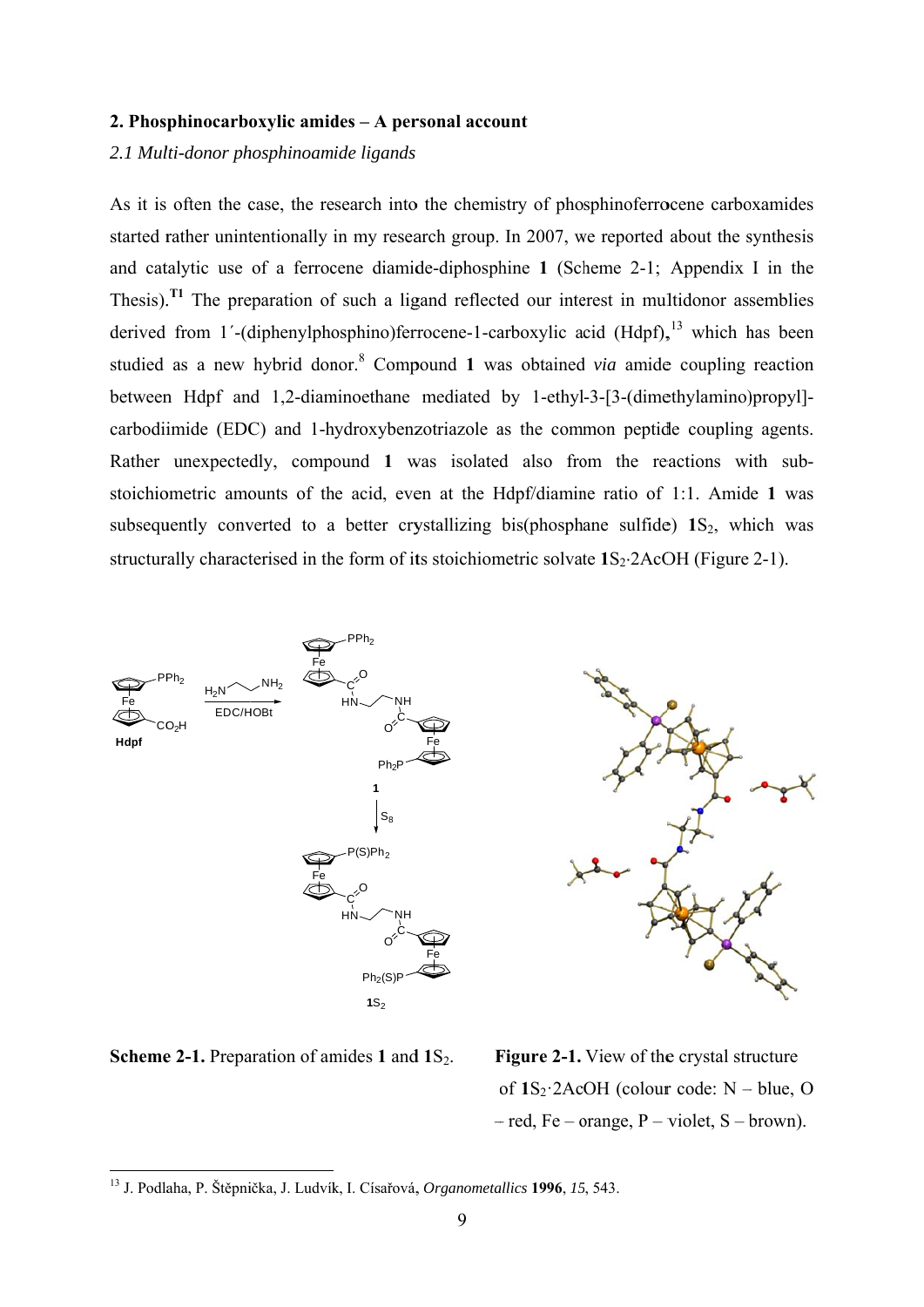## 2. Phosphinocarboxylic amides - A personal account

# 2.1 Multi-donor phosphinoamide ligands

As it is often the case, the research into the chemistry of phosphinoferrocene carboxamides started rather unintentionally in my research group. In 2007, we reported about the synthesis and catalytic use of a ferrocene diamide-diphosphine 1 (Scheme 2-1; Appendix I in the Thesis).<sup> $T1$ </sup> The preparation of such a ligand reflected our interest in multidonor assemblies derived from 1'-(diphenylphosphino)ferrocene-1-carboxylic acid (Hdpf),  $^{13}$  which has been studied as a new hybrid donor.<sup>8</sup> Compound 1 was obtained *via* amide coupling reaction between Hdpf and 1,2-diaminoethane mediated by 1-ethyl-3-[3-(dimethylamino)propyl]carbodiimide (EDC) and 1-hydroxybenzotriazole as the common peptide coupling agents. Rather unexpectedly, compound 1 was isolated also from the reactions with substoichiometric amounts of the acid, even at the Hdpf/diamine ratio of 1:1. Amide 1 was subsequently converted to a better crystallizing bis(phosphane sulfide) 1S<sub>2</sub>, which was structurally characterised in the form of its stoichiometric solvate  $1S_2$ :  $2A$ cOH (Figure 2-1).



**Scheme 2-1.** Preparation of amides 1 and  $1S_2$ .

Figure 2-1. View of the crystal structure of  $1S_2$ :  $2AcoH$  (colour code: N – blue, O  $-$  red, Fe – orange, P – violet, S – brown).

<sup>&</sup>lt;sup>13</sup> J. Podlaha, P. Štěpnička, J. Ludvík, I. Císařová, Organometallics 1996, 15, 543.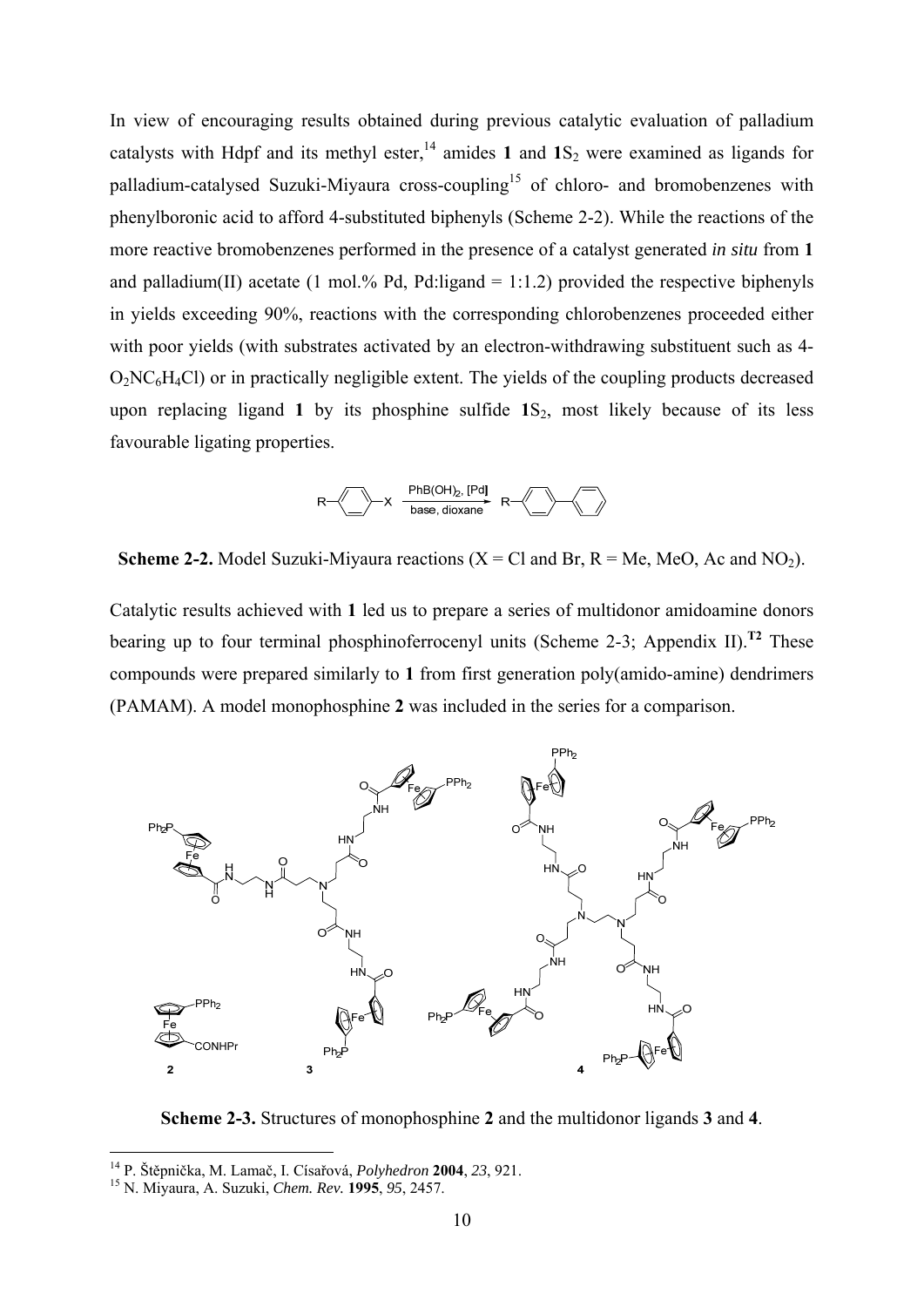In view of encouraging results obtained during previous catalytic evaluation of palladium catalysts with Hdpf and its methyl ester,<sup>14</sup> amides 1 and  $1S_2$  were examined as ligands for palladium-catalysed Suzuki-Miyaura cross-coupling<sup>15</sup> of chloro- and bromobenzenes with phenylboronic acid to afford 4-substituted biphenyls (Scheme 2-2). While the reactions of the more reactive bromobenzenes performed in the presence of a catalyst generated *in situ* from **1** and palladium(II) acetate (1 mol.% Pd, Pd:ligand = 1:1.2) provided the respective biphenyls in yields exceeding 90%, reactions with the corresponding chlorobenzenes proceeded either with poor yields (with substrates activated by an electron-withdrawing substituent such as 4-O2NC6H4Cl) or in practically negligible extent. The yields of the coupling products decreased upon replacing ligand 1 by its phosphine sulfide 1S<sub>2</sub>, most likely because of its less favourable ligating properties.



**Scheme 2-2.** Model Suzuki-Miyaura reactions  $(X = C1$  and Br,  $R = Me$ , MeO, Ac and NO<sub>2</sub>).

Catalytic results achieved with **1** led us to prepare a series of multidonor amidoamine donors bearing up to four terminal phosphinoferrocenyl units (Scheme 2-3; Appendix II).**T2** These compounds were prepared similarly to **1** from first generation poly(amido-amine) dendrimers (PAMAM). A model monophosphine **2** was included in the series for a comparison.



**Scheme 2-3.** Structures of monophosphine **2** and the multidonor ligands **3** and **4**.

<sup>14</sup> P. Štěpnička, M. Lamač, I. Císařová, *Polyhedron* **2004**, *23*, 921. 15 N. Miyaura, A. Suzuki, *Chem. Rev.* **<sup>1995</sup>**, *95*, 2457.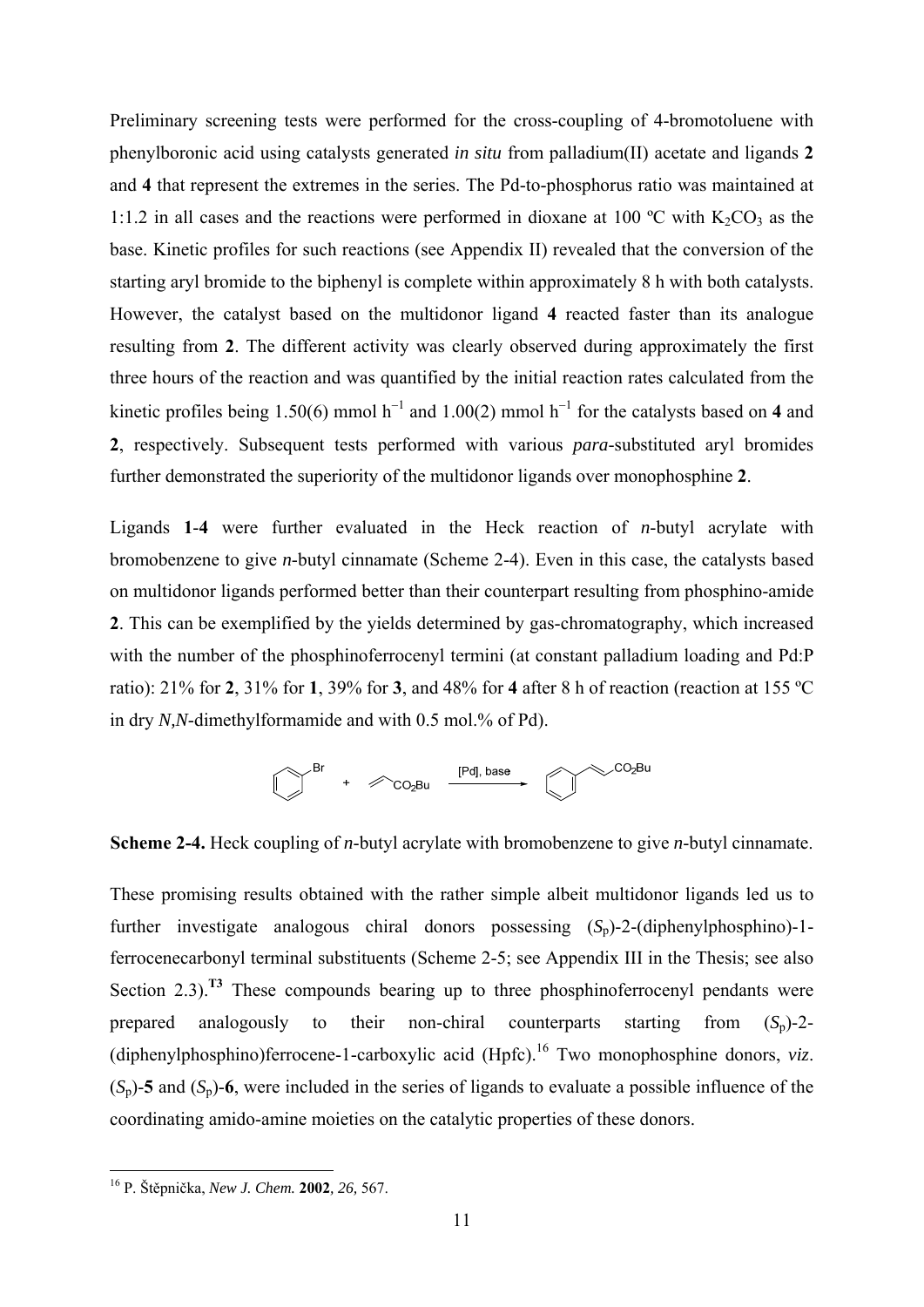Preliminary screening tests were performed for the cross-coupling of 4-bromotoluene with phenylboronic acid using catalysts generated *in situ* from palladium(II) acetate and ligands **2** and **4** that represent the extremes in the series. The Pd-to-phosphorus ratio was maintained at 1:1.2 in all cases and the reactions were performed in dioxane at 100 °C with  $K_2CO_3$  as the base. Kinetic profiles for such reactions (see Appendix II) revealed that the conversion of the starting aryl bromide to the biphenyl is complete within approximately 8 h with both catalysts. However, the catalyst based on the multidonor ligand **4** reacted faster than its analogue resulting from **2**. The different activity was clearly observed during approximately the first three hours of the reaction and was quantified by the initial reaction rates calculated from the kinetic profiles being 1.50(6) mmol  $h^{-1}$  and 1.00(2) mmol  $h^{-1}$  for the catalysts based on 4 and **2**, respectively. Subsequent tests performed with various *para*-substituted aryl bromides further demonstrated the superiority of the multidonor ligands over monophosphine **2**.

Ligands **1**-**4** were further evaluated in the Heck reaction of *n*-butyl acrylate with bromobenzene to give *n*-butyl cinnamate (Scheme 2-4). Even in this case, the catalysts based on multidonor ligands performed better than their counterpart resulting from phosphino-amide **2**. This can be exemplified by the yields determined by gas-chromatography, which increased with the number of the phosphinoferrocenyl termini (at constant palladium loading and Pd:P ratio): 21% for **2**, 31% for **1**, 39% for **3**, and 48% for **4** after 8 h of reaction (reaction at 155 ºC in dry *N,N*-dimethylformamide and with 0.5 mol.% of Pd).



**Scheme 2-4.** Heck coupling of *n*-butyl acrylate with bromobenzene to give *n*-butyl cinnamate.

These promising results obtained with the rather simple albeit multidonor ligands led us to further investigate analogous chiral donors possessing  $(S_n)$ -2-(diphenylphosphino)-1ferrocenecarbonyl terminal substituents (Scheme 2-5; see Appendix III in the Thesis; see also Section 2.3).<sup>T3</sup> These compounds bearing up to three phosphinoferrocenyl pendants were prepared analogously to their non-chiral counterparts starting from  $(S_n)$ -2-(diphenylphosphino)ferrocene-1-carboxylic acid  $(Hpfc)$ <sup>16</sup> Two monophosphine donors, *viz*.  $(S_p)$ -**5** and  $(S_p)$ -6, were included in the series of ligands to evaluate a possible influence of the coordinating amido-amine moieties on the catalytic properties of these donors.

<sup>16</sup> P. Štěpnička, *New J. Chem.* **2002***, 26,* 567.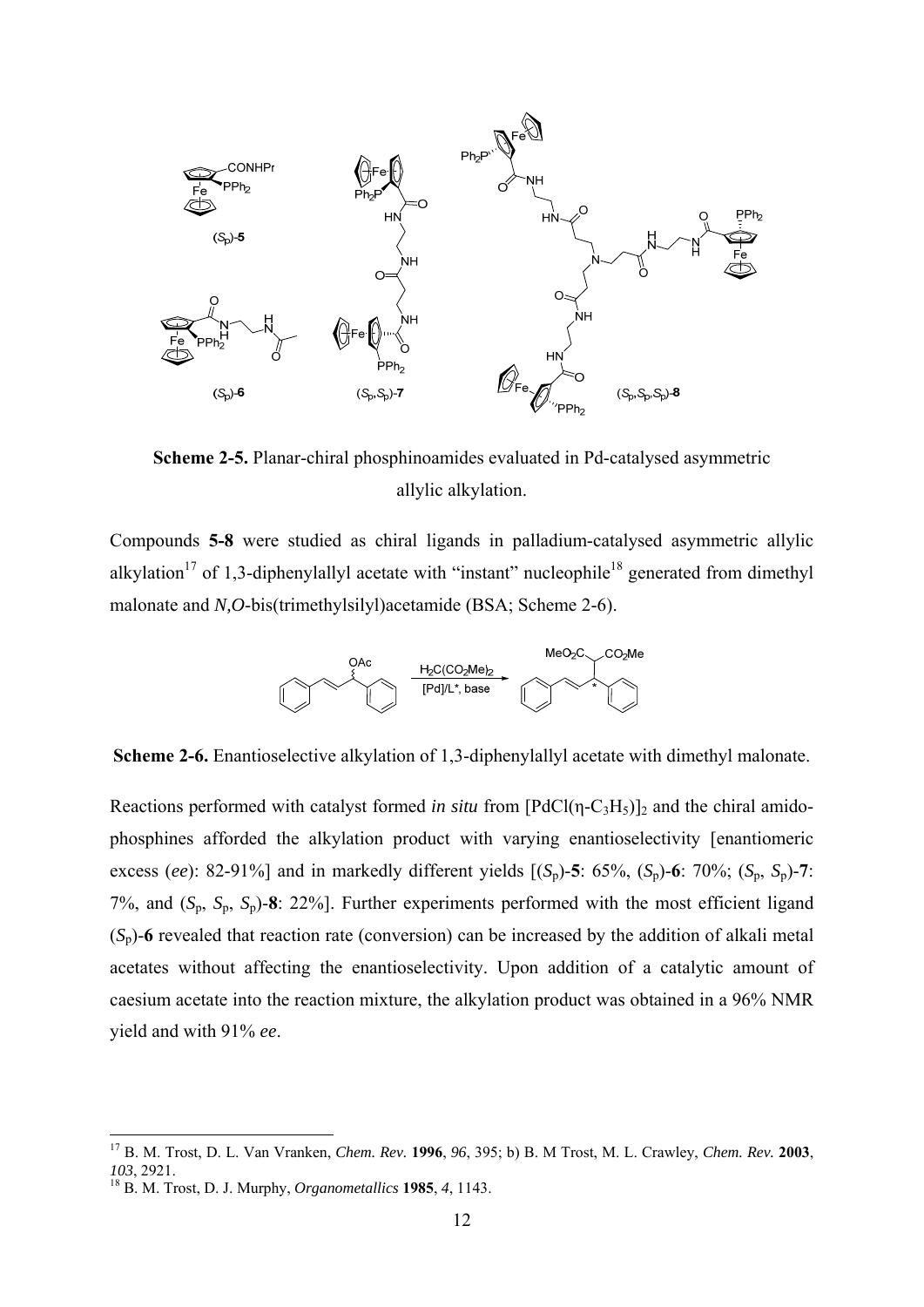

**Scheme 2-5.** Planar-chiral phosphinoamides evaluated in Pd-catalysed asymmetric allylic alkylation.

Compounds **5-8** were studied as chiral ligands in palladium-catalysed asymmetric allylic alkylation<sup>17</sup> of 1,3-diphenylallyl acetate with "instant" nucleophile<sup>18</sup> generated from dimethyl malonate and *N,O*-bis(trimethylsilyl)acetamide (BSA; Scheme 2-6).



**Scheme 2-6.** Enantioselective alkylation of 1,3-diphenylallyl acetate with dimethyl malonate.

Reactions performed with catalyst formed *in situ* from  $[PdCl(\eta-C_3H_5)]_2$  and the chiral amidophosphines afforded the alkylation product with varying enantioselectivity [enantiomeric excess (*ee*): 82-91%] and in markedly different yields  $[(S_p)$ -5: 65%,  $(S_p)$ -6: 70%;  $(S_p, S_p)$ -7: 7%, and (*S*p, *S*p, *S*p)-**8**: 22%]. Further experiments performed with the most efficient ligand  $(S_p)$ -6 revealed that reaction rate (conversion) can be increased by the addition of alkali metal acetates without affecting the enantioselectivity. Upon addition of a catalytic amount of caesium acetate into the reaction mixture, the alkylation product was obtained in a 96% NMR yield and with 91% *ee*.

<sup>17</sup> B. M. Trost, D. L. Van Vranken, *Chem. Rev.* **1996**, *96*, 395; b) B. M Trost, M. L. Crawley, *Chem. Rev.* **2003**, *<sup>103</sup>*, 2921. 18 B. M. Trost, D. J. Murphy, *Organometallics* **<sup>1985</sup>**, *4*, 1143.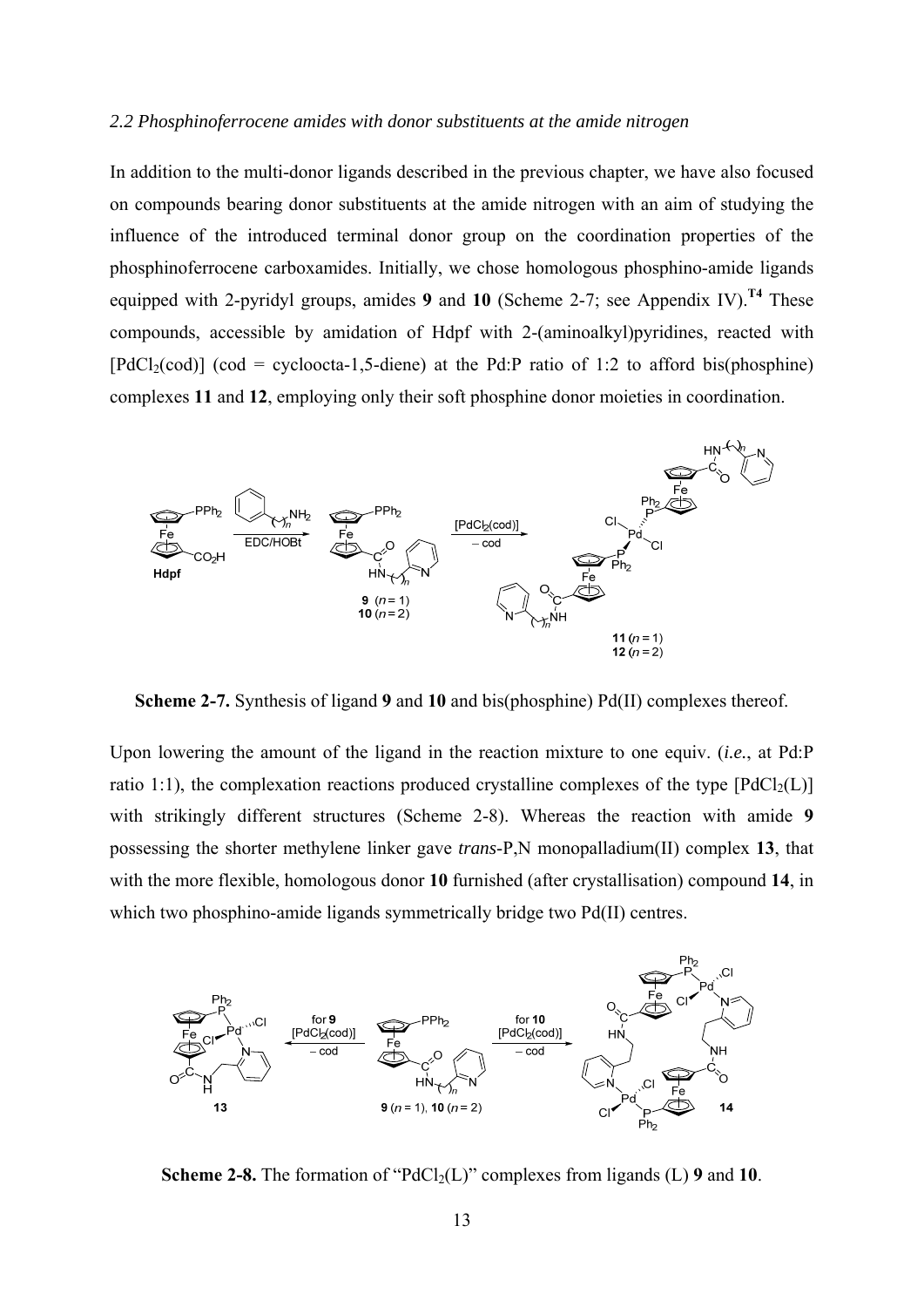#### *2.2 Phosphinoferrocene amides with donor substituents at the amide nitrogen*

In addition to the multi-donor ligands described in the previous chapter, we have also focused on compounds bearing donor substituents at the amide nitrogen with an aim of studying the influence of the introduced terminal donor group on the coordination properties of the phosphinoferrocene carboxamides. Initially, we chose homologous phosphino-amide ligands equipped with 2-pyridyl groups, amides **9** and **10** (Scheme 2-7; see Appendix IV).<sup>T4</sup> These compounds, accessible by amidation of Hdpf with 2-(aminoalkyl)pyridines, reacted with  $[PdCl<sub>2</sub>(cod)]$  (cod = cycloocta-1,5-diene) at the Pd:P ratio of 1:2 to afford bis(phosphine) complexes **11** and **12**, employing only their soft phosphine donor moieties in coordination.



**Scheme 2-7.** Synthesis of ligand **9** and **10** and bis(phosphine) Pd(II) complexes thereof.

Upon lowering the amount of the ligand in the reaction mixture to one equiv. (*i.e.*, at Pd:P ratio 1:1), the complexation reactions produced crystalline complexes of the type  $[PadCl<sub>2</sub>(L)]$ with strikingly different structures (Scheme 2-8). Whereas the reaction with amide **9** possessing the shorter methylene linker gave *trans*-P,N monopalladium(II) complex **13**, that with the more flexible, homologous donor **10** furnished (after crystallisation) compound **14**, in which two phosphino-amide ligands symmetrically bridge two Pd(II) centres.



**Scheme 2-8.** The formation of " $PdCl_2(L)$ " complexes from ligands (L) 9 and 10.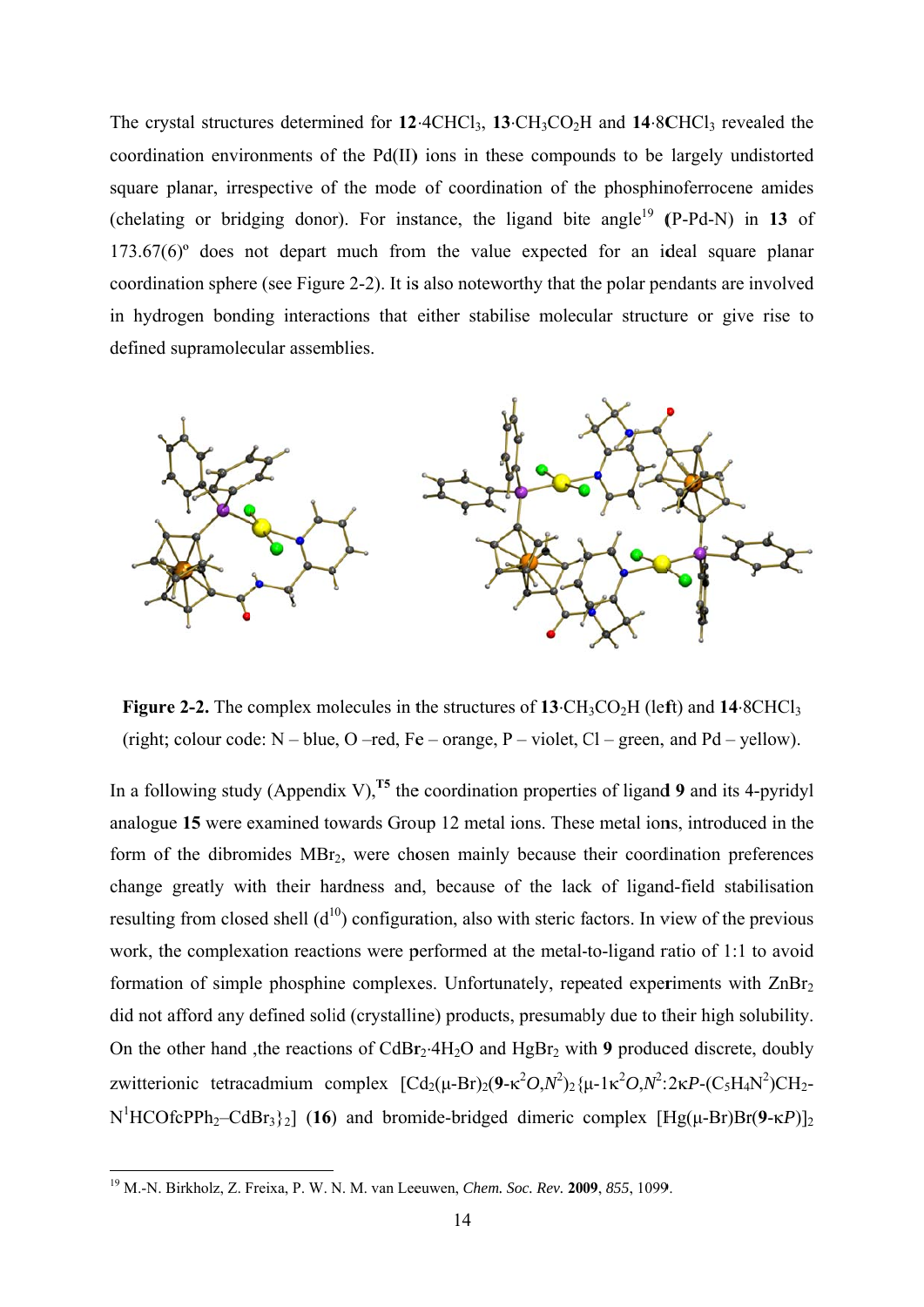The crystal structures determined for  $12 \cdot 4CHCl_3$ ,  $13 \cdot CH_3CO_2H$  and  $14 \cdot 8CHCl_3$  revealed the coordination environments of the Pd(II) ions in these compounds to be largely undistorted square planar, irrespective of the mode of coordination of the phosphinoferrocene amides (chelating or bridging donor). For instance, the ligand bite angle<sup>19</sup> (P-Pd-N) in 13 of  $173.67(6)$  does not depart much from the value expected for an ideal square planar coordination sphere (see Figure 2-2). It is also noteworthy that the polar pendants are involved in hydrogen bonding interactions that either stabilise molecular structure or give rise to defined supramolecular assemblies.



**Figure 2-2.** The complex molecules in the structures of  $13 \text{·CH}_3\text{CO}_2\text{H}$  (left) and  $14 \text{·}8\text{CHCl}_3$ (right; colour code:  $N - blue$ ,  $O - red$ ,  $Fe - orange$ ,  $P - violet$ ,  $Cl - green$ , and  $Pd - yellow$ ).

In a following study (Appendix V).<sup>T5</sup> the coordination properties of ligand 9 and its 4-pyridyl analogue 15 were examined towards Group 12 metal ions. These metal ions, introduced in the form of the dibromides MBr<sub>2</sub>, were chosen mainly because their coordination preferences change greatly with their hardness and, because of the lack of ligand-field stabilisation resulting from closed shell  $(d^{10})$  configuration, also with steric factors. In view of the previous work, the complexation reactions were performed at the metal-to-ligand ratio of 1:1 to avoid formation of simple phosphine complexes. Unfortunately, repeated experiments with ZnBr<sub>2</sub> did not afford any defined solid (crystalline) products, presumably due to their high solubility. On the other hand, the reactions of CdBr<sub>2</sub>.4H<sub>2</sub>O and HgBr<sub>2</sub> with 9 produced discrete, doubly zwitterionic tetracadmium complex  $[\text{Cd}_2(\mu-\text{Br})_2(9-\kappa^2O,N^2)_2(\mu-1\kappa^2O,N^2:2\kappa P-(C_5H_4N^2)CH_2 N^1$ HCOfcPPh<sub>2</sub>-CdBr<sub>3</sub>}<sub>2</sub>] (16) and bromide-bridged dimeric complex [Hg( $\mu$ -Br)Br( $9$ - $\kappa$ P)]<sub>2</sub>

<sup>&</sup>lt;sup>19</sup> M.-N. Birkholz, Z. Freixa, P. W. N. M. van Leeuwen, *Chem. Soc. Rev.* 2009, 855, 1099.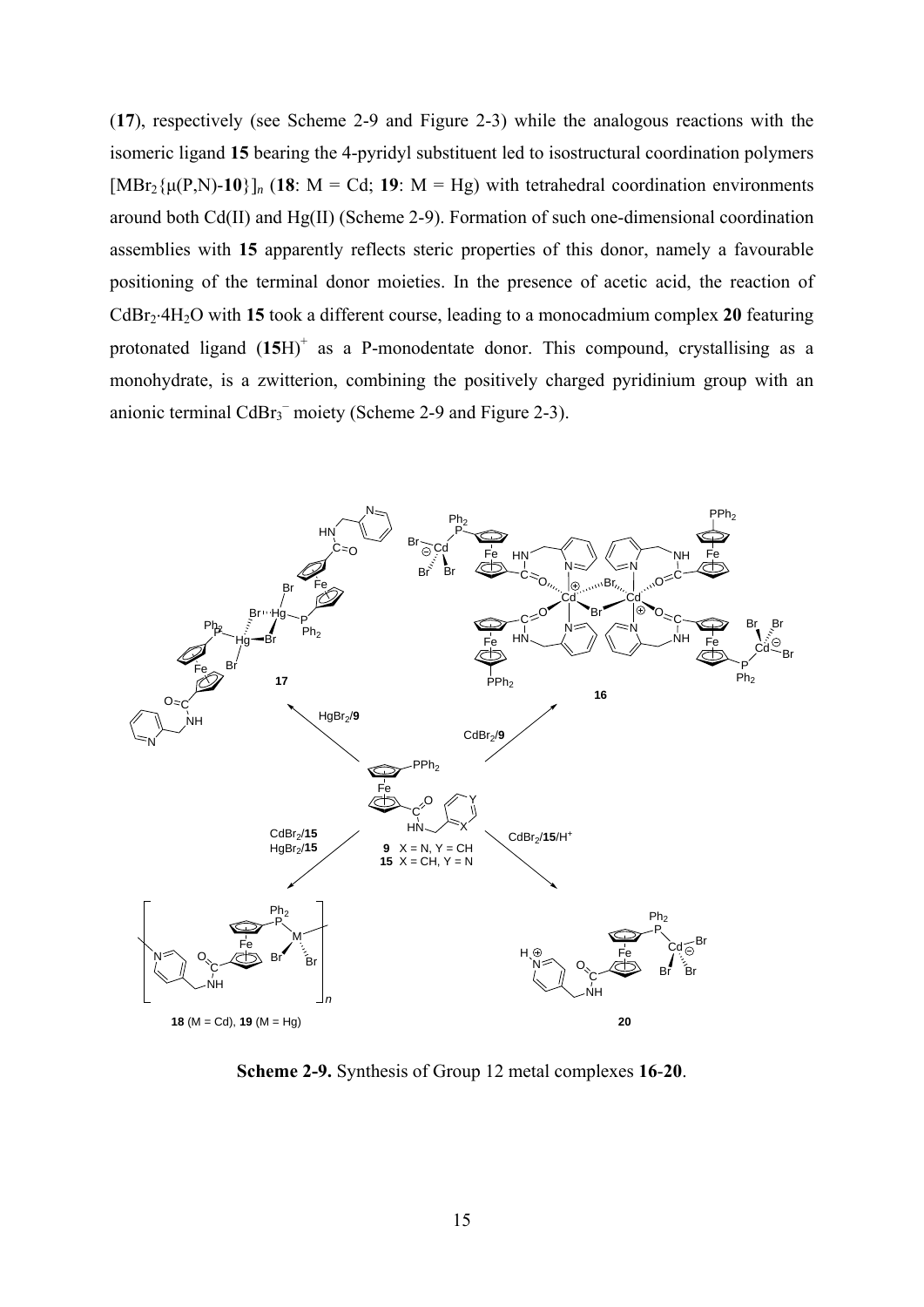(**17**), respectively (see Scheme 2-9 and Figure 2-3) while the analogous reactions with the isomeric ligand **15** bearing the 4-pyridyl substituent led to isostructural coordination polymers  $[MBr_2{\mu(P,N)}-10]$ <sup>*n*</sup> (18: M = Cd; 19: M = Hg) with tetrahedral coordination environments around both Cd(II) and Hg(II) (Scheme 2-9). Formation of such one-dimensional coordination assemblies with **15** apparently reflects steric properties of this donor, namely a favourable positioning of the terminal donor moieties. In the presence of acetic acid, the reaction of CdBr<sub>2</sub>+H<sub>2</sub>O with 15 took a different course, leading to a monocadmium complex 20 featuring protonated ligand  $(15H)^+$  as a P-monodentate donor. This compound, crystallising as a monohydrate, is a zwitterion, combining the positively charged pyridinium group with an anionic terminal  $CdBr_3^-$  moiety (Scheme 2-9 and Figure 2-3).



**Scheme 2-9.** Synthesis of Group 12 metal complexes **16**-**20**.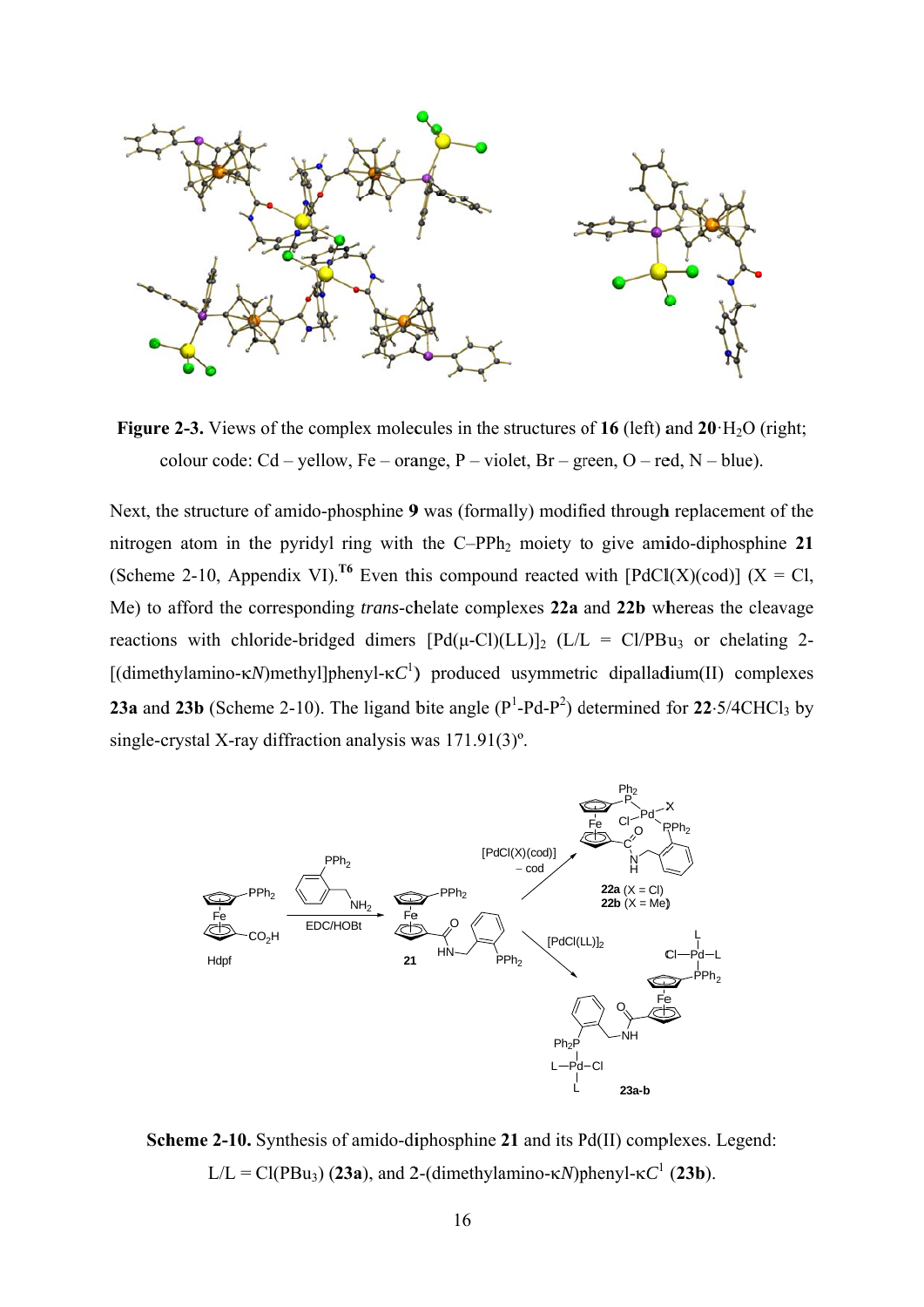

**Figure 2-3.** Views of the complex molecules in the structures of 16 (left) and 20  $H_2O$  (right; colour code:  $Cd -$ yellow,  $Fe -$ orange,  $P -$ violet,  $Br -$ green,  $O -$ red,  $N -$ blue).

Next, the structure of amido-phosphine 9 was (formally) modified through replacement of the nitrogen atom in the pyridyl ring with the C-PPh<sub>2</sub> moiety to give amido-diphosphine 21 (Scheme 2-10, Appendix VI).<sup>16</sup> Even this compound reacted with [PdCl(X)(cod)] (X = Cl, Me) to afford the corresponding *trans*-chelate complexes 22a and 22b whereas the cleavage reactions with chloride-bridged dimers  $[Pd(\mu-CI)(LL)]_2$  (L/L = Cl/PBu<sub>3</sub> or chelating 2-[(dimethylamino- $\kappa N$ )methyl]phenyl- $\kappa C^1$ ) produced usymmetric dipalladium(II) complexes 23a and 23b (Scheme 2-10). The ligand bite angle  $(P^1-Pd-P^2)$  determined for 22.5/4CHCl<sub>3</sub> by single-crystal X-ray diffraction analysis was  $171.91(3)$ °.



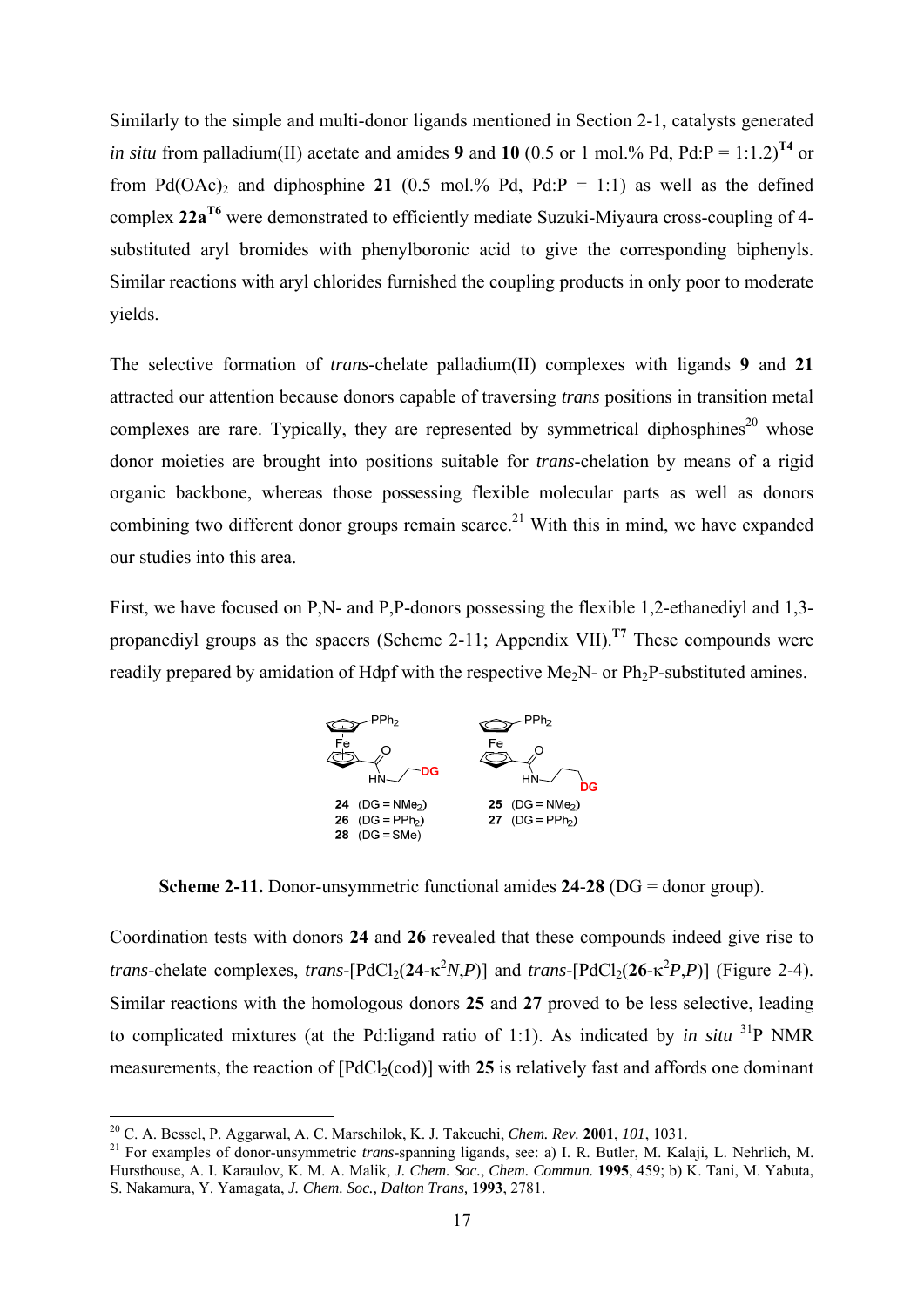Similarly to the simple and multi-donor ligands mentioned in Section 2-1, catalysts generated *in situ* from palladium(II) acetate and amides 9 and 10 (0.5 or 1 mol.% Pd, Pd:P = 1:1.2)<sup>T4</sup> or from Pd(OAc)<sub>2</sub> and diphosphine 21 (0.5 mol.% Pd, Pd:P = 1:1) as well as the defined complex **22aT6** were demonstrated to efficiently mediate Suzuki-Miyaura cross-coupling of 4 substituted aryl bromides with phenylboronic acid to give the corresponding biphenyls. Similar reactions with aryl chlorides furnished the coupling products in only poor to moderate yields.

The selective formation of *trans*-chelate palladium(II) complexes with ligands **9** and **21** attracted our attention because donors capable of traversing *trans* positions in transition metal complexes are rare. Typically, they are represented by symmetrical diphosphines<sup>20</sup> whose donor moieties are brought into positions suitable for *trans*-chelation by means of a rigid organic backbone, whereas those possessing flexible molecular parts as well as donors combining two different donor groups remain scarce.<sup>21</sup> With this in mind, we have expanded our studies into this area.

First, we have focused on P,N- and P,P-donors possessing the flexible 1,2-ethanediyl and 1,3 propanedivl groups as the spacers (Scheme 2-11; Appendix VII).<sup>T7</sup> These compounds were readily prepared by amidation of Hdpf with the respective Me<sub>2</sub>N- or Ph<sub>2</sub>P-substituted amines.



**Scheme 2-11.** Donor-unsymmetric functional amides **24**-**28** (DG = donor group).

Coordination tests with donors **24** and **26** revealed that these compounds indeed give rise to *trans*-chelate complexes, *trans*-[PdCl<sub>2</sub>(24- $\kappa^2 N$ ,*P*)] and *trans*-[PdCl<sub>2</sub>(26- $\kappa^2 P$ ,*P*)] (Figure 2-4). Similar reactions with the homologous donors **25** and **27** proved to be less selective, leading to complicated mixtures (at the Pd:ligand ratio of 1:1). As indicated by *in situ* 31P NMR measurements, the reaction of  $[PdCl_2(cod)]$  with 25 is relatively fast and affords one dominant

<sup>&</sup>lt;sup>20</sup> C. A. Bessel, P. Aggarwal, A. C. Marschilok, K. J. Takeuchi, *Chem. Rev.* **2001**, *101*, 1031.<br><sup>21</sup> For examples of donor-unsymmetric *trans*-spanning ligands, see: a) I. R. Butler, M. Kalaji, L. Nehrlich, M. Hursthouse, A. I. Karaulov, K. M. A. Malik, *J. Chem. Soc.*, *Chem. Commun.* **1995**, 459; b) K. Tani, M. Yabuta, S. Nakamura, Y. Yamagata, *J. Chem. Soc., Dalton Trans,* **1993**, 2781.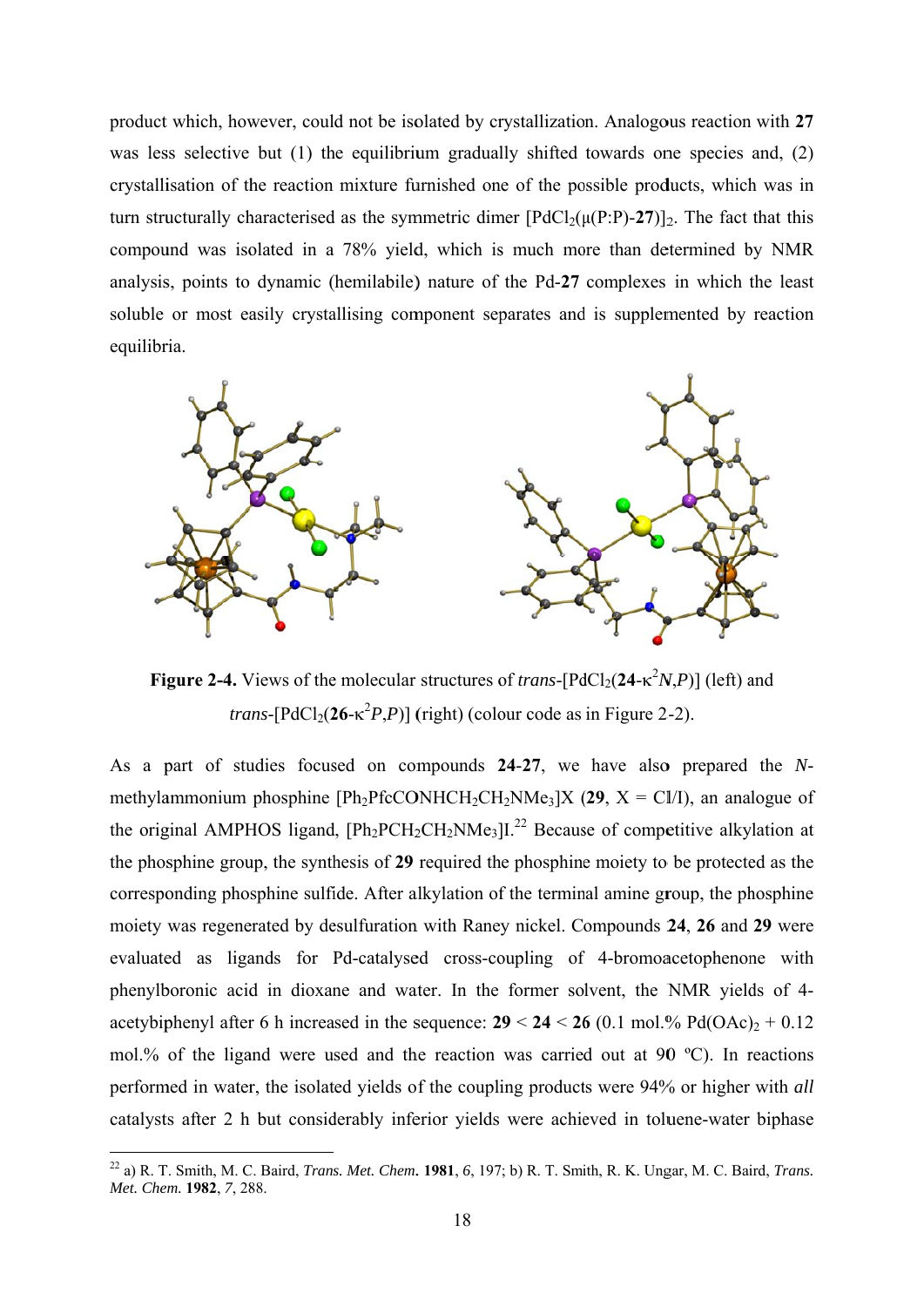product which, however, could not be isolated by crystallization. Analogous reaction with 27 was less selective but  $(1)$  the equilibrium gradually shifted towards one species and,  $(2)$ crystallisation of the reaction mixture furnished one of the possible products, which was in turn structurally characterised as the symmetric dimer  $[PdCl_2(\mu(P:P)-27)]_2$ . The fact that this compound was isolated in a 78% yield, which is much more than determined by NMR analysis, points to dynamic (hemilabile) nature of the Pd-27 complexes in which the least soluble or most easily crystallising component separates and is supplemented by reaction equilibria.



**Figure 2-4.** Views of the molecular structures of *trans*-[PdCl<sub>2</sub>(24- $\kappa^2 N$ , P)] (left) and *trans*-[PdCl<sub>2</sub>(26- $\kappa^2 P$ ,P)] (right) (colour code as in Figure 2-2).

As a part of studies focused on compounds 24-27, we have also prepared the Nmethylammonium phosphine [Ph<sub>2</sub>PfcCONHCH<sub>2</sub>CH<sub>2</sub>NMe<sub>3</sub>]X (29, X = Cl/I), an analogue of the original AMPHOS ligand,  $[Ph_2PCH_2CH_2NMe_3]$ <sup>22</sup> Because of competitive alkylation at the phosphine group, the synthesis of 29 required the phosphine moiety to be protected as the corresponding phosphine sulfide. After alkylation of the terminal amine group, the phosphine moiety was regenerated by desulfuration with Raney nickel. Compounds 24, 26 and 29 were evaluated as ligands for Pd-catalysed cross-coupling of 4-bromoacetophenone with phenylboronic acid in dioxane and water. In the former solvent, the NMR yields of 4acetybiphenyl after 6 h increased in the sequence:  $29 < 24 < 26$  (0.1 mol.% Pd(OAc)<sub>2</sub> + 0.12 mol.% of the ligand were used and the reaction was carried out at 90  $^{\circ}$ C). In reactions performed in water, the isolated yields of the coupling products were 94% or higher with all catalysts after 2 h but considerably inferior yields were achieved in toluene-water biphase

<sup>&</sup>lt;sup>22</sup> a) R. T. Smith, M. C. Baird, *Trans. Met. Chem.* **1981**, 6, 197; b) R. T. Smith, R. K. Ungar, M. C. Baird, *Trans.* Met. Chem. 1982, 7, 288.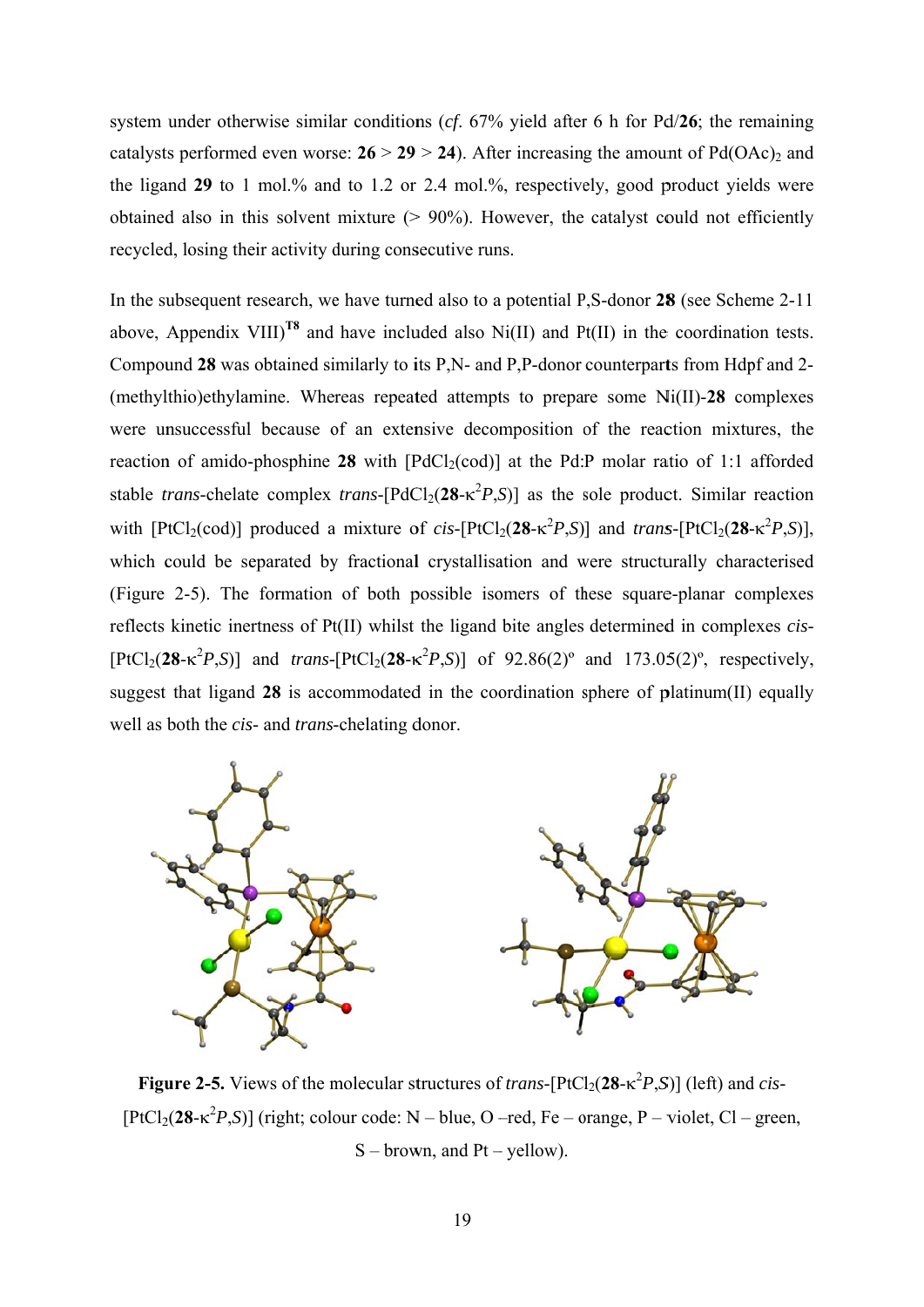system under otherwise similar conditions (cf.  $67\%$  yield after 6 h for Pd/26; the remaining catalysts performed even worse:  $26 > 29 > 24$ ). After increasing the amount of Pd(OAc)<sub>2</sub> and the ligand 29 to 1 mol.% and to 1.2 or 2.4 mol.%, respectively, good product yields were obtained also in this solvent mixture  $(> 90\%)$ . However, the catalyst could not efficiently recycled, losing their activity during consecutive runs.

In the subsequent research, we have turned also to a potential P.S-donor 28 (see Scheme 2-11) above, Appendix VIII)<sup>T8</sup> and have included also Ni(II) and Pt(II) in the coordination tests. Compound 28 was obtained similarly to its P,N- and P,P-donor counterparts from Hdpf and 2-(methylthio)ethylamine. Whereas repeated attempts to prepare some Ni(II)-28 complexes were unsuccessful because of an extensive decomposition of the reaction mixtures, the reaction of amido-phosphine 28 with  $[PdCl<sub>2</sub>(cod)]$  at the Pd:P molar ratio of 1:1 afforded stable *trans*-chelate complex *trans*-[PdCl<sub>2</sub>(28- $\kappa^2 P$ ,S)] as the sole product. Similar reaction with  $[PtCl_2(cod)]$  produced a mixture of cis- $[PtCl_2(28-\kappa^2 P,S)]$  and trans- $[PtCl_2(28-\kappa^2 P,S)]$ , which could be separated by fractional crystallisation and were structurally characterised (Figure 2-5). The formation of both possible isomers of these square-planar complexes reflects kinetic inertness of Pt(II) whilst the ligand bite angles determined in complexes *cis*- $[PtCl_2(28-\kappa^2 P.S)]$  and *trans*- $[PtCl_2(28-\kappa^2 P.S)]$  of 92.86(2)° and 173.05(2)°, respectively, suggest that ligand  $28$  is accommodated in the coordination sphere of platinum(II) equally well as both the *cis*- and *trans*-chelating donor.



Figure 2-5. Views of the molecular structures of *trans*-[PtCl<sub>2</sub>(28- $\kappa^2 P$ ,S)] (left) and *cis*- $[PtCl<sub>2</sub>(28- $\kappa^2 P, S$ )] (right; colour code: N – blue, O – red, Fe – orange, P – violet, Cl – green,$  $S - brown$ , and  $Pt - yellow$ ).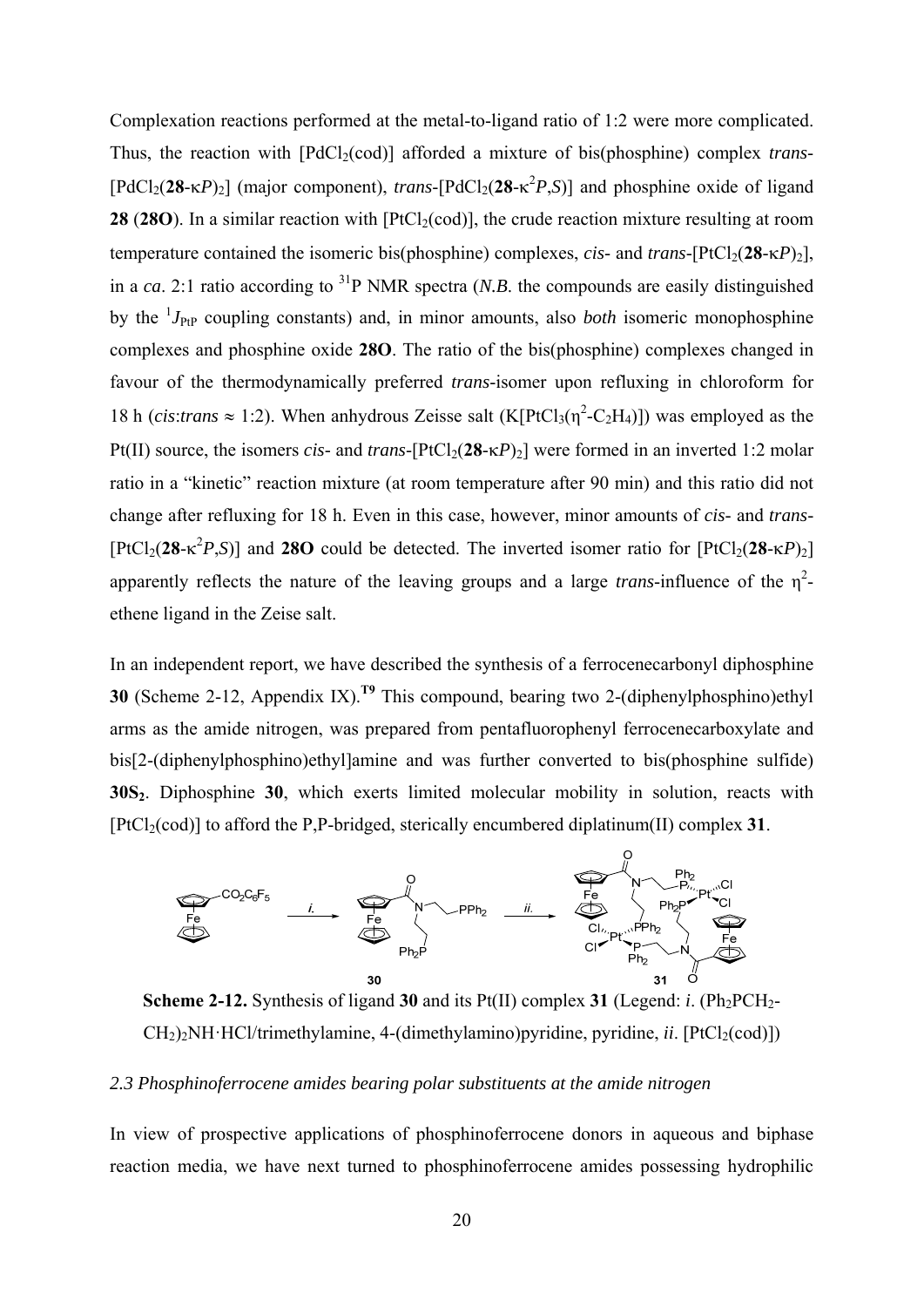Complexation reactions performed at the metal-to-ligand ratio of 1:2 were more complicated. Thus, the reaction with [PdCl<sub>2</sub>(cod)] afforded a mixture of bis(phosphine) complex *trans*-[PdCl<sub>2</sub>(28- $\kappa$ P)<sub>2</sub>] (major component), *trans*-[PdCl<sub>2</sub>(28- $\kappa$ <sup>2</sup>P,S)] and phosphine oxide of ligand **28 (28O).** In a similar reaction with  $[PtCl<sub>2</sub>(cod)]$ , the crude reaction mixture resulting at room temperature contained the isomeric bis(phosphine) complexes, *cis*- and *trans*-[PtCl<sub>2</sub>(28- $\kappa$ P)<sub>2</sub>], in a *ca*. 2:1 ratio according to <sup>31</sup>P NMR spectra (*N.B.* the compounds are easily distinguished by the <sup>1</sup>*J*<sub>PtP</sub> coupling constants) and, in minor amounts, also *both* isomeric monophosphine complexes and phosphine oxide **28O**. The ratio of the bis(phosphine) complexes changed in favour of the thermodynamically preferred *trans*-isomer upon refluxing in chloroform for 18 h (*cis:trans*  $\approx$  1:2). When anhydrous Zeisse salt (K[PtCl<sub>3</sub>( $\eta^2$ -C<sub>2</sub>H<sub>4</sub>)]) was employed as the Pt(II) source, the isomers *cis*- and *trans*-[PtCl<sub>2</sub>(28- $\kappa$ *P*)<sub>2</sub>] were formed in an inverted 1:2 molar ratio in a "kinetic" reaction mixture (at room temperature after 90 min) and this ratio did not change after refluxing for 18 h. Even in this case, however, minor amounts of *cis*- and *trans*-  $[PtCl_2(28 - \kappa^2 P, S)]$  and 280 could be detected. The inverted isomer ratio for  $[PtCl_2(28 - \kappa P)_2]$ apparently reflects the nature of the leaving groups and a large *trans*-influence of the  $\eta^2$ ethene ligand in the Zeise salt.

In an independent report, we have described the synthesis of a ferrocenecarbonyl diphosphine **30** (Scheme 2-12, Appendix IX).**T9** This compound, bearing two 2-(diphenylphosphino)ethyl arms as the amide nitrogen, was prepared from pentafluorophenyl ferrocenecarboxylate and bis[2-(diphenylphosphino)ethyl]amine and was further converted to bis(phosphine sulfide) **30S**<sub>2</sub>. Diphosphine **30**, which exerts limited molecular mobility in solution, reacts with  $[PtCl<sub>2</sub>(cod)]$  to afford the P,P-bridged, sterically encumbered diplatinum $(II)$  complex 31.





# *2.3 Phosphinoferrocene amides bearing polar substituents at the amide nitrogen*

In view of prospective applications of phosphinoferrocene donors in aqueous and biphase reaction media, we have next turned to phosphinoferrocene amides possessing hydrophilic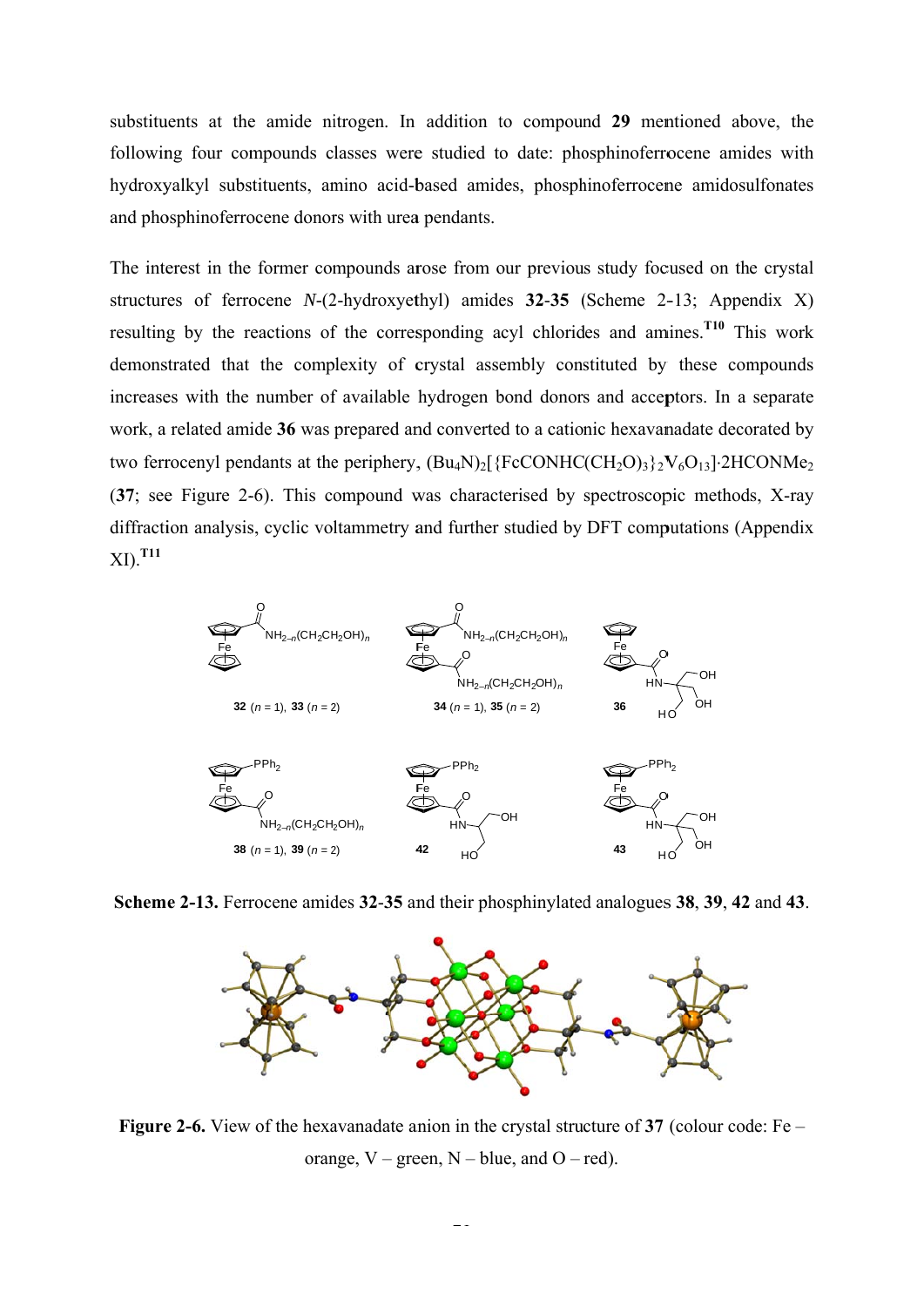substituents at the amide nitrogen. In addition to compound 29 mentioned above, the following four compounds classes were studied to date: phosphinoferrocene amides with hydroxyalkyl substituents, amino acid-based amides, phosphinoferrocene amidosulfonates and phosphinoferrocene donors with urea pendants.

The interest in the former compounds arose from our previous study focused on the crystal structures of ferrocene  $N-(2-hydroxvethyl)$  amides 32-35 (Scheme 2-13; Appendix X) resulting by the reactions of the corresponding acyl chlorides and amines.<sup>T10</sup> This work demonstrated that the complexity of crystal assembly constituted by these compounds increases with the number of available hydrogen bond donors and acceptors. In a separate work, a related amide 36 was prepared and converted to a cationic hexavanadate decorated by two ferrocenyl pendants at the periphery,  $(Bu_4N)_2$  {FcCONHC(CH<sub>2</sub>O)<sub>3</sub>}<sub>2</sub>V<sub>6</sub>O<sub>13</sub>] $\cdot$ 2HCONMe<sub>2</sub> (37; see Figure 2-6). This compound was characterised by spectroscopic methods, X-ray diffraction analysis, cyclic voltammetry and further studied by DFT computations (Appendix  $XI$ ).  $T11$ 



Scheme 2-13. Ferrocene amides 32-35 and their phosphinylated analogues 38, 39, 42 and 43.



**Figure 2-6.** View of the hexavanadate anion in the crystal structure of 37 (colour code:  $Fe$  – orange,  $V$  – green,  $N$  – blue, and  $O$  – red).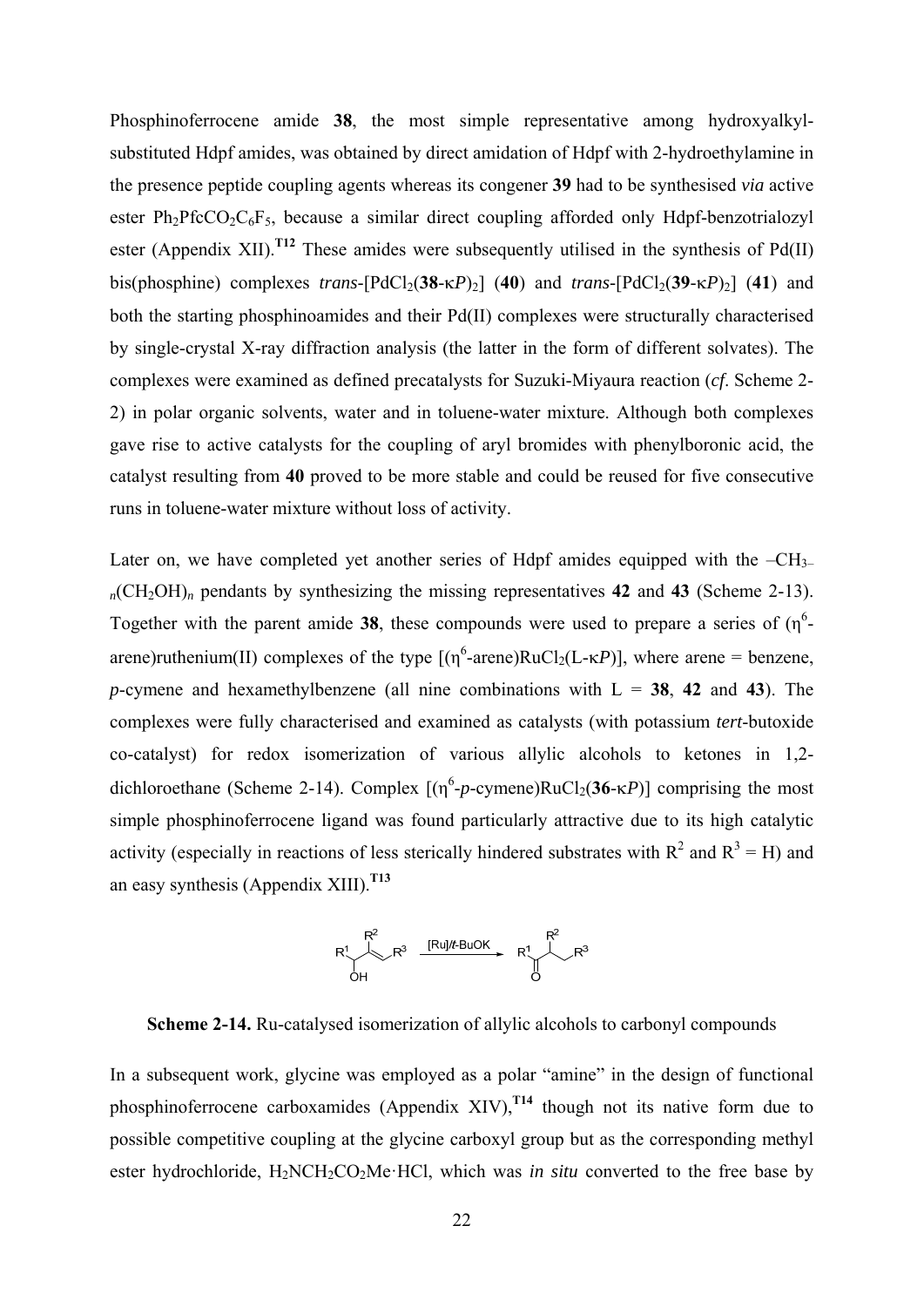Phosphinoferrocene amide **38**, the most simple representative among hydroxyalkylsubstituted Hdpf amides, was obtained by direct amidation of Hdpf with 2-hydroethylamine in the presence peptide coupling agents whereas its congener **39** had to be synthesised *via* active ester  $Ph_2PfcCO_2C_6F_5$ , because a similar direct coupling afforded only Hdpf-benzotrialozyl ester (Appendix XII).<sup>T12</sup> These amides were subsequently utilised in the synthesis of  $Pd(II)$ bis(phosphine) complexes *trans*-[PdCl<sub>2</sub>(38- $\kappa$ *P*)<sub>2</sub>] (40) and *trans*-[PdCl<sub>2</sub>(39- $\kappa$ *P*)<sub>2</sub>] (41) and both the starting phosphinoamides and their Pd(II) complexes were structurally characterised by single-crystal X-ray diffraction analysis (the latter in the form of different solvates). The complexes were examined as defined precatalysts for Suzuki-Miyaura reaction (*cf*. Scheme 2- 2) in polar organic solvents, water and in toluene-water mixture. Although both complexes gave rise to active catalysts for the coupling of aryl bromides with phenylboronic acid, the catalyst resulting from **40** proved to be more stable and could be reused for five consecutive runs in toluene-water mixture without loss of activity.

Later on, we have completed yet another series of Hdpf amides equipped with the  $-CH_{3-}$  $n$ (CH<sub>2</sub>OH)<sub>n</sub> pendants by synthesizing the missing representatives 42 and 43 (Scheme 2-13). Together with the parent amide 38, these compounds were used to prepare a series of  $(\eta^6$ arene)ruthenium(II) complexes of the type  $[(\eta^6\text{-}arene)RuCl_2(L-\kappa P)]$ , where arene = benzene, *p*-cymene and hexamethylbenzene (all nine combinations with  $L = 38$ , 42 and 43). The complexes were fully characterised and examined as catalysts (with potassium *tert*-butoxide co-catalyst) for redox isomerization of various allylic alcohols to ketones in 1,2 dichloroethane (Scheme 2-14). Complex  $[(\eta^6 - p - \text{cymene})\text{RuCl}_2(36 - \kappa P)]$  comprising the most simple phosphinoferrocene ligand was found particularly attractive due to its high catalytic activity (especially in reactions of less sterically hindered substrates with  $R^2$  and  $R^3 = H$ ) and an easy synthesis (Appendix XIII).**T13**

$$
R^{1} \longrightarrow R^{3} \xrightarrow{[Rul/ t-BuOK]{} R^{1} \longrightarrow R^{3}
$$
  
OH

**Scheme 2-14.** Ru-catalysed isomerization of allylic alcohols to carbonyl compounds

In a subsequent work, glycine was employed as a polar "amine" in the design of functional phosphinoferrocene carboxamides (Appendix XIV), $^{T14}$  though not its native form due to possible competitive coupling at the glycine carboxyl group but as the corresponding methyl ester hydrochloride, H<sub>2</sub>NCH<sub>2</sub>CO<sub>2</sub>Me·HCl, which was *in situ* converted to the free base by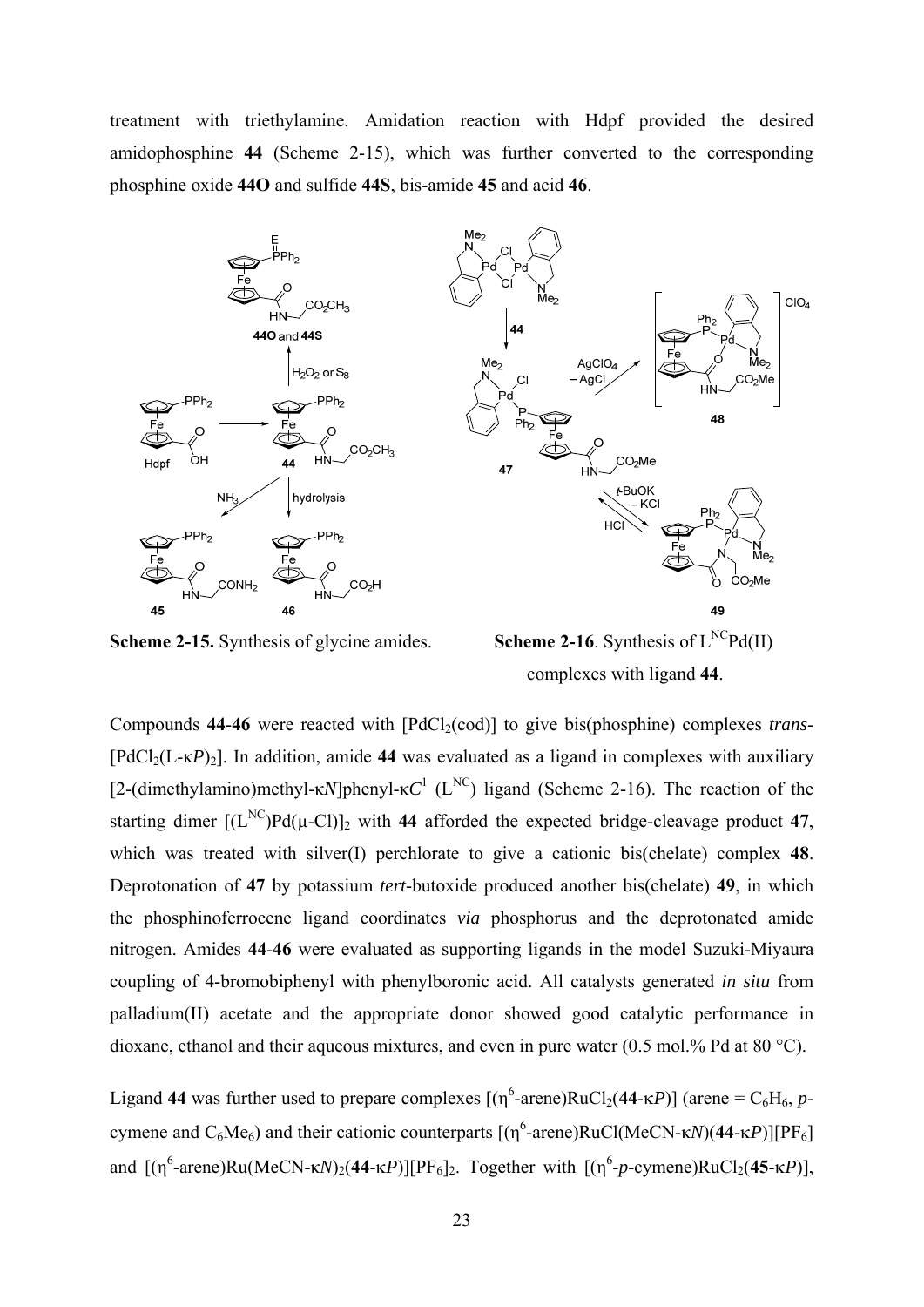treatment with triethylamine. Amidation reaction with Hdpf provided the desired amidophosphine **44** (Scheme 2-15), which was further converted to the corresponding phosphine oxide **44O** and sulfide **44S**, bis-amide **45** and acid **46**.



**Scheme 2-15.** Synthesis of glycine amides. **Scheme 2-16**. Synthesis of  $L^{NC}Pd(II)$ complexes with ligand **44**.

Compounds 44-46 were reacted with [PdCl<sub>2</sub>(cod)] to give bis(phosphine) complexes *trans*- $[PdCl<sub>2</sub>(L- $\kappa P$ )<sub>2</sub>].$  In addition, amide 44 was evaluated as a ligand in complexes with auxiliary [2-(dimethylamino)methyl-κ*N*]phenyl-κ $C^1$  (L<sup>NC</sup>) ligand (Scheme 2-16). The reaction of the starting dimer  $[(L^{NC})Pd(\mu-C)]_2$  with 44 afforded the expected bridge-cleavage product 47, which was treated with silver(I) perchlorate to give a cationic bis(chelate) complex **48**. Deprotonation of **47** by potassium *tert*-butoxide produced another bis(chelate) **49**, in which the phosphinoferrocene ligand coordinates *via* phosphorus and the deprotonated amide nitrogen. Amides **44**-**46** were evaluated as supporting ligands in the model Suzuki-Miyaura coupling of 4-bromobiphenyl with phenylboronic acid. All catalysts generated *in situ* from palladium(II) acetate and the appropriate donor showed good catalytic performance in dioxane, ethanol and their aqueous mixtures, and even in pure water (0.5 mol.% Pd at 80 °C).

Ligand 44 was further used to prepare complexes  $[(\eta^6\text{-}arene)RuCl_2(44-\kappa P)]$  (arene =  $C_6H_6$ , *p*cymene and  $C_6Me_6$ ) and their cationic counterparts  $[(η<sup>6</sup>-arene)RuCl(MeCN-κN)(44-κP)][PF<sub>6</sub>]$ and  $[(\eta^6\text{-}arene)Ru(MeCN-\kappa N)_2(44-\kappa P)][PF_6]_2$ . Together with  $[(\eta^6\text{-}p\text{-}cymene)RuCl_2(45-\kappa P)],$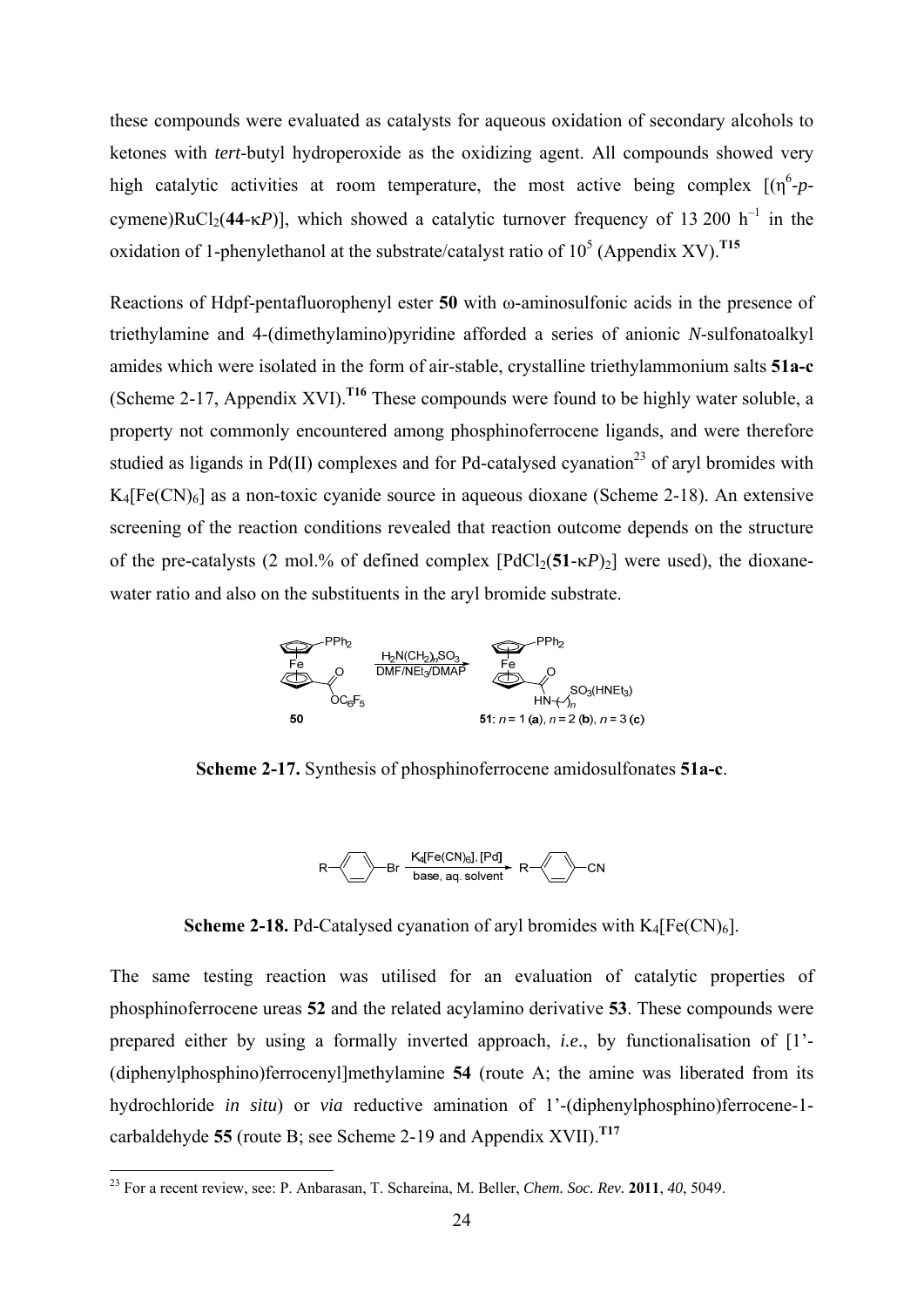these compounds were evaluated as catalysts for aqueous oxidation of secondary alcohols to ketones with *tert*-butyl hydroperoxide as the oxidizing agent. All compounds showed very high catalytic activities at room temperature, the most active being complex  $[(\eta^6 - p - \eta^6)]$ cymene)RuCl<sub>2</sub>(44- $\kappa P$ )], which showed a catalytic turnover frequency of 13 200 h<sup>-1</sup> in the oxidation of 1-phenylethanol at the substrate/catalyst ratio of  $10^5$  (Appendix XV).<sup>T15</sup>

Reactions of Hdpf-pentafluorophenyl ester **50** with ω-aminosulfonic acids in the presence of triethylamine and 4-(dimethylamino)pyridine afforded a series of anionic *N*-sulfonatoalkyl amides which were isolated in the form of air-stable, crystalline triethylammonium salts **51a-c** (Scheme 2-17, Appendix XVI).**T16** These compounds were found to be highly water soluble, a property not commonly encountered among phosphinoferrocene ligands, and were therefore studied as ligands in Pd(II) complexes and for Pd-catalysed cyanation<sup>23</sup> of aryl bromides with  $K_4[Fe(CN)_6]$  as a non-toxic cyanide source in aqueous dioxane (Scheme 2-18). An extensive screening of the reaction conditions revealed that reaction outcome depends on the structure of the pre-catalysts (2 mol.% of defined complex  $[PdCl_2(51-\kappa P)_2]$  were used), the dioxanewater ratio and also on the substituents in the aryl bromide substrate.



**Scheme 2-17.** Synthesis of phosphinoferrocene amidosulfonates **51a-c**.



**Scheme 2-18.** Pd-Catalysed cyanation of aryl bromides with  $K_4[Fe(CN)_6]$ .

The same testing reaction was utilised for an evaluation of catalytic properties of phosphinoferrocene ureas **52** and the related acylamino derivative **53**. These compounds were prepared either by using a formally inverted approach, *i.e*., by functionalisation of [1'- (diphenylphosphino)ferrocenyl]methylamine **54** (route A; the amine was liberated from its hydrochloride *in situ*) or *via* reductive amination of 1'-(diphenylphosphino)ferrocene-1carbaldehyde **55** (route B; see Scheme 2-19 and Appendix XVII).**T17**

<sup>23</sup> For a recent review, see: P. Anbarasan, T. Schareina, M. Beller, *Chem. Soc. Rev.* **2011**, *40*, 5049.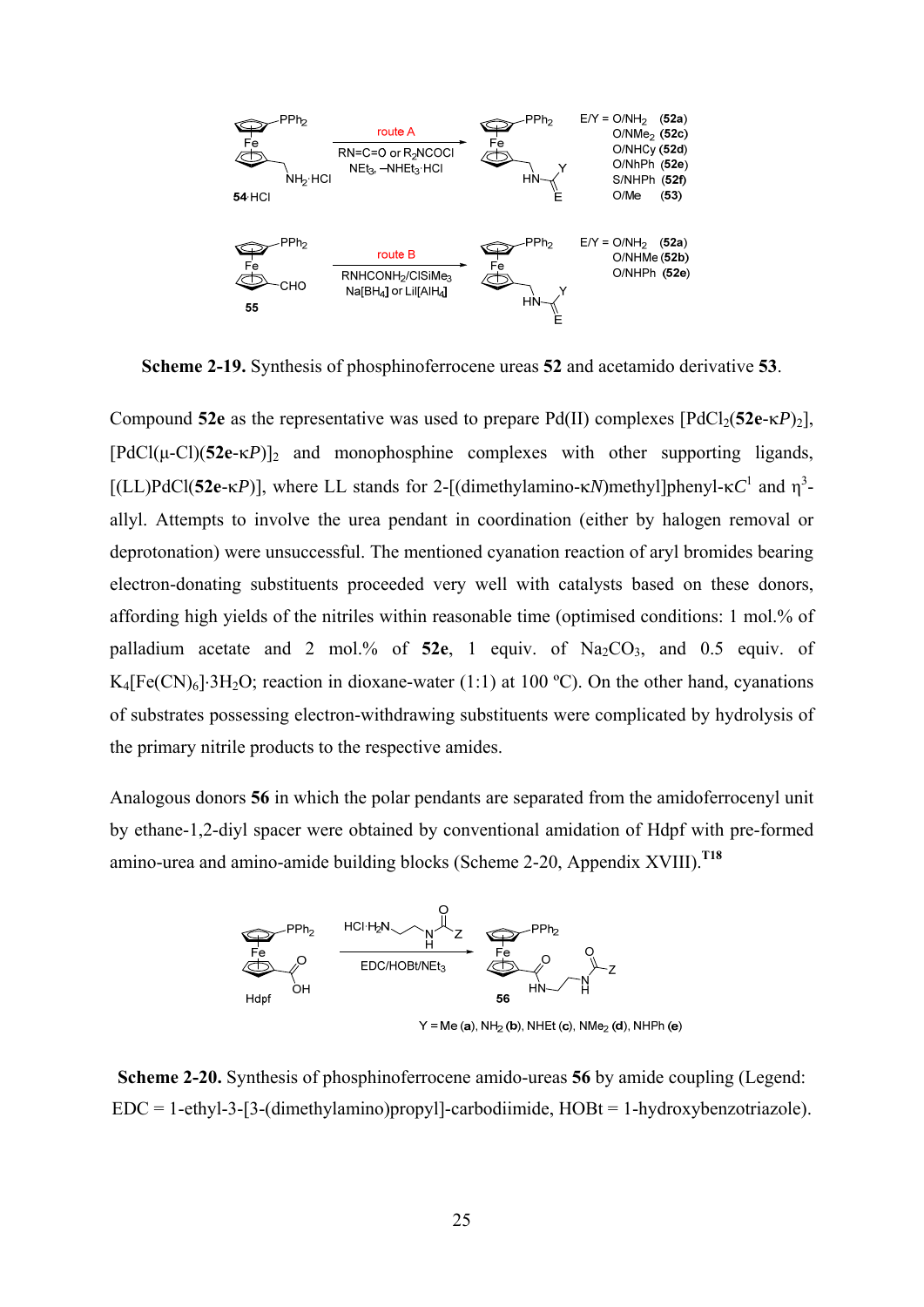

**Scheme 2-19.** Synthesis of phosphinoferrocene ureas **52** and acetamido derivative **53**.

Compound 52e as the representative was used to prepare Pd(II) complexes  $[PdCl_2(52e-\kappa P)_2]$ ,  $[PdCl(\mu-Cl)(52e-\kappa P)]_2$  and monophosphine complexes with other supporting ligands, [(LL)PdCl(52e-*κP*)], where LL stands for 2-[(dimethylamino-*κN*)methyl]phenyl-*κC*<sup>1</sup> and η<sup>3</sup>allyl. Attempts to involve the urea pendant in coordination (either by halogen removal or deprotonation) were unsuccessful. The mentioned cyanation reaction of aryl bromides bearing electron-donating substituents proceeded very well with catalysts based on these donors, affording high yields of the nitriles within reasonable time (optimised conditions: 1 mol.% of palladium acetate and 2 mol.% of 52e, 1 equiv. of Na<sub>2</sub>CO<sub>3</sub>, and 0.5 equiv. of K<sub>4</sub>[Fe(CN)<sub>6</sub>] $\cdot$ 3H<sub>2</sub>O; reaction in dioxane-water (1:1) at 100 °C). On the other hand, cyanations of substrates possessing electron-withdrawing substituents were complicated by hydrolysis of the primary nitrile products to the respective amides.

Analogous donors **56** in which the polar pendants are separated from the amidoferrocenyl unit by ethane-1,2-diyl spacer were obtained by conventional amidation of Hdpf with pre-formed amino-urea and amino-amide building blocks (Scheme 2-20, Appendix XVIII).**T18**



**Scheme 2-20.** Synthesis of phosphinoferrocene amido-ureas **56** by amide coupling (Legend: EDC = 1-ethyl-3-[3-(dimethylamino)propyl]-carbodiimide, HOBt = 1-hydroxybenzotriazole).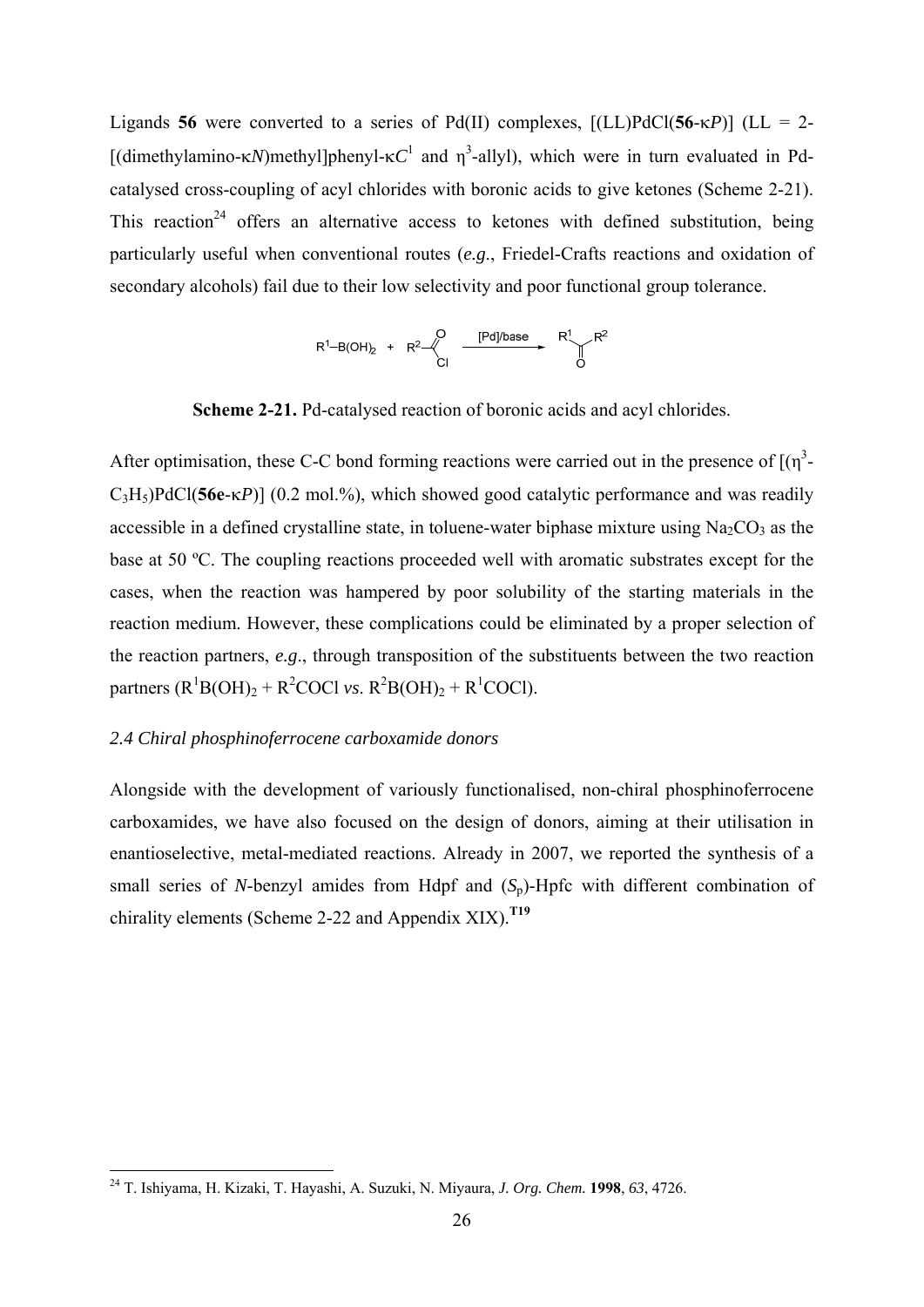Ligands **56** were converted to a series of Pd(II) complexes,  $[(LL)PdCl(56-\kappa P)]$  (LL = 2-[(dimethylamino- $\kappa N$ )methyl]phenyl- $\kappa C^1$  and  $\eta^3$ -allyl), which were in turn evaluated in Pdcatalysed cross-coupling of acyl chlorides with boronic acids to give ketones (Scheme 2-21). This reaction<sup>24</sup> offers an alternative access to ketones with defined substitution, being particularly useful when conventional routes (*e.g*., Friedel-Crafts reactions and oxidation of secondary alcohols) fail due to their low selectivity and poor functional group tolerance.

$$
R^{1}-B(OH)_{2} + R^{2} \xleftarrow{\begin{array}{c} Q \\ C \end{array}} \xrightarrow{\qquad [Pd] / base \qquad R^{1} \qquad R^{2} \\ \qquad \begin{array}{c} R^{1} \\ O \end{array} \end{array}
$$

**Scheme 2-21.** Pd-catalysed reaction of boronic acids and acyl chlorides.

After optimisation, these C-C bond forming reactions were carried out in the presence of  $[(\eta^3 C_3H_5$ )PdCl(**56e**- $\kappa$ *P*)] (0.2 mol.%), which showed good catalytic performance and was readily accessible in a defined crystalline state, in toluene-water biphase mixture using  $Na<sub>2</sub>CO<sub>3</sub>$  as the base at 50 ºC. The coupling reactions proceeded well with aromatic substrates except for the cases, when the reaction was hampered by poor solubility of the starting materials in the reaction medium. However, these complications could be eliminated by a proper selection of the reaction partners, *e.g*., through transposition of the substituents between the two reaction partners  $(R^1B(OH)_2 + R^2COCl \text{ vs. } R^2B(OH)_2 + R^1COCl)$ .

# *2.4 Chiral phosphinoferrocene carboxamide donors*

1

Alongside with the development of variously functionalised, non-chiral phosphinoferrocene carboxamides, we have also focused on the design of donors, aiming at their utilisation in enantioselective, metal-mediated reactions. Already in 2007, we reported the synthesis of a small series of *N*-benzyl amides from Hdpf and  $(S_n)$ -Hpfc with different combination of chirality elements (Scheme 2-22 and Appendix XIX).**T19**

<sup>24</sup> T. Ishiyama, H. Kizaki, T. Hayashi, A. Suzuki, N. Miyaura, *J. Org. Chem.* **1998**, *63*, 4726.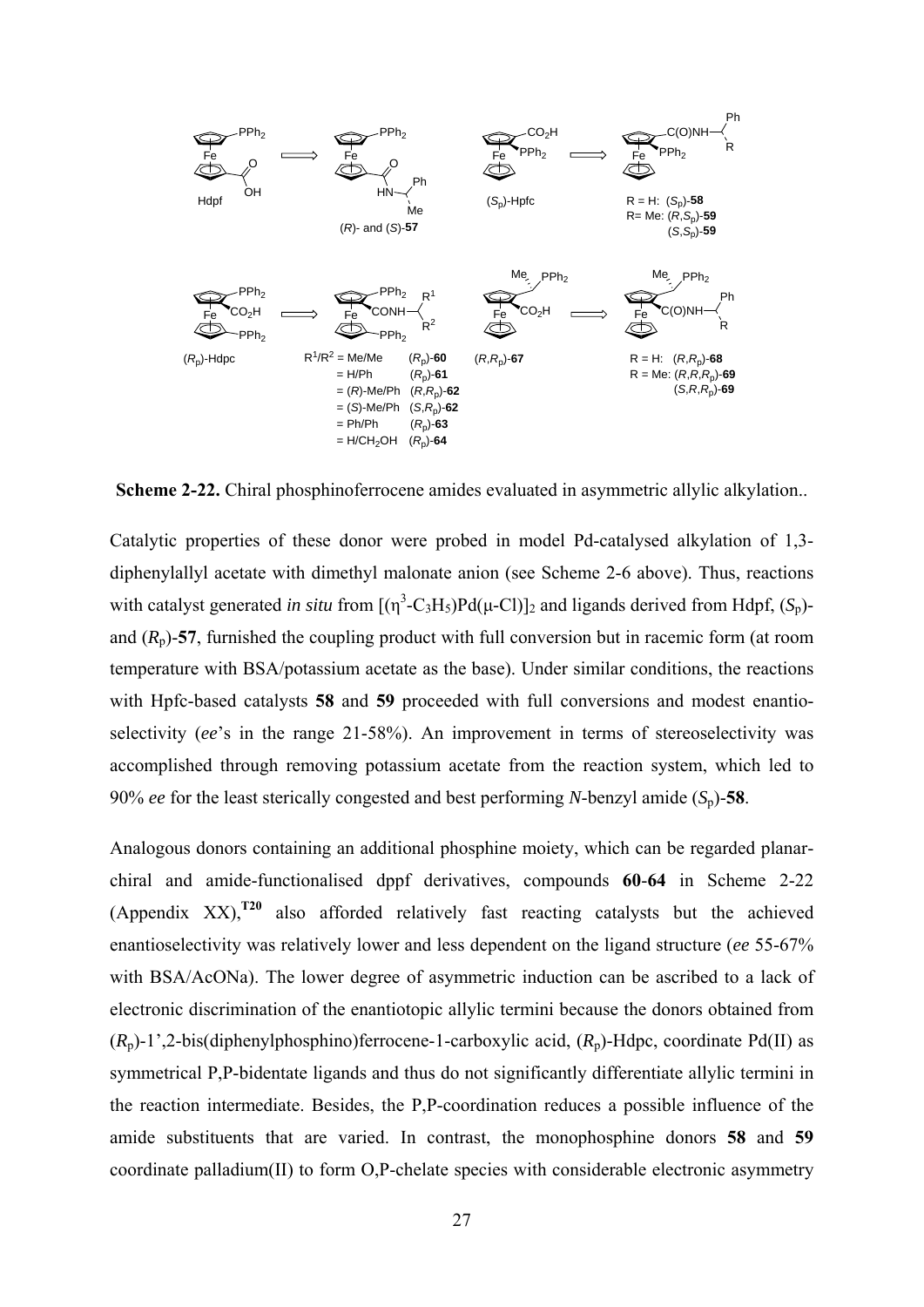

**Scheme 2-22.** Chiral phosphinoferrocene amides evaluated in asymmetric allylic alkylation..

Catalytic properties of these donor were probed in model Pd-catalysed alkylation of 1,3 diphenylallyl acetate with dimethyl malonate anion (see Scheme 2-6 above). Thus, reactions with catalyst generated *in situ* from  $[(\eta^3 - C_3 H_5)Pd(\mu - Cl)]_2$  and ligands derived from Hdpf,  $(S_p)$ and  $(R_p)$ -57, furnished the coupling product with full conversion but in racemic form (at room temperature with BSA/potassium acetate as the base). Under similar conditions, the reactions with Hpfc-based catalysts **58** and **59** proceeded with full conversions and modest enantioselectivity (*ee*'s in the range 21-58%). An improvement in terms of stereoselectivity was accomplished through removing potassium acetate from the reaction system, which led to 90% *ee* for the least sterically congested and best performing *N*-benzyl amide  $(S_p)$ -58.

Analogous donors containing an additional phosphine moiety, which can be regarded planarchiral and amide-functionalised dppf derivatives, compounds **60**-**64** in Scheme 2-22 (Appendix XX),**T20** also afforded relatively fast reacting catalysts but the achieved enantioselectivity was relatively lower and less dependent on the ligand structure (*ee* 55-67% with BSA/AcONa). The lower degree of asymmetric induction can be ascribed to a lack of electronic discrimination of the enantiotopic allylic termini because the donors obtained from  $(R_p)$ -1',2-bis(diphenylphosphino)ferrocene-1-carboxylic acid,  $(R_p)$ -Hdpc, coordinate Pd(II) as symmetrical P,P-bidentate ligands and thus do not significantly differentiate allylic termini in the reaction intermediate. Besides, the P,P-coordination reduces a possible influence of the amide substituents that are varied. In contrast, the monophosphine donors **58** and **59** coordinate palladium(II) to form O,P-chelate species with considerable electronic asymmetry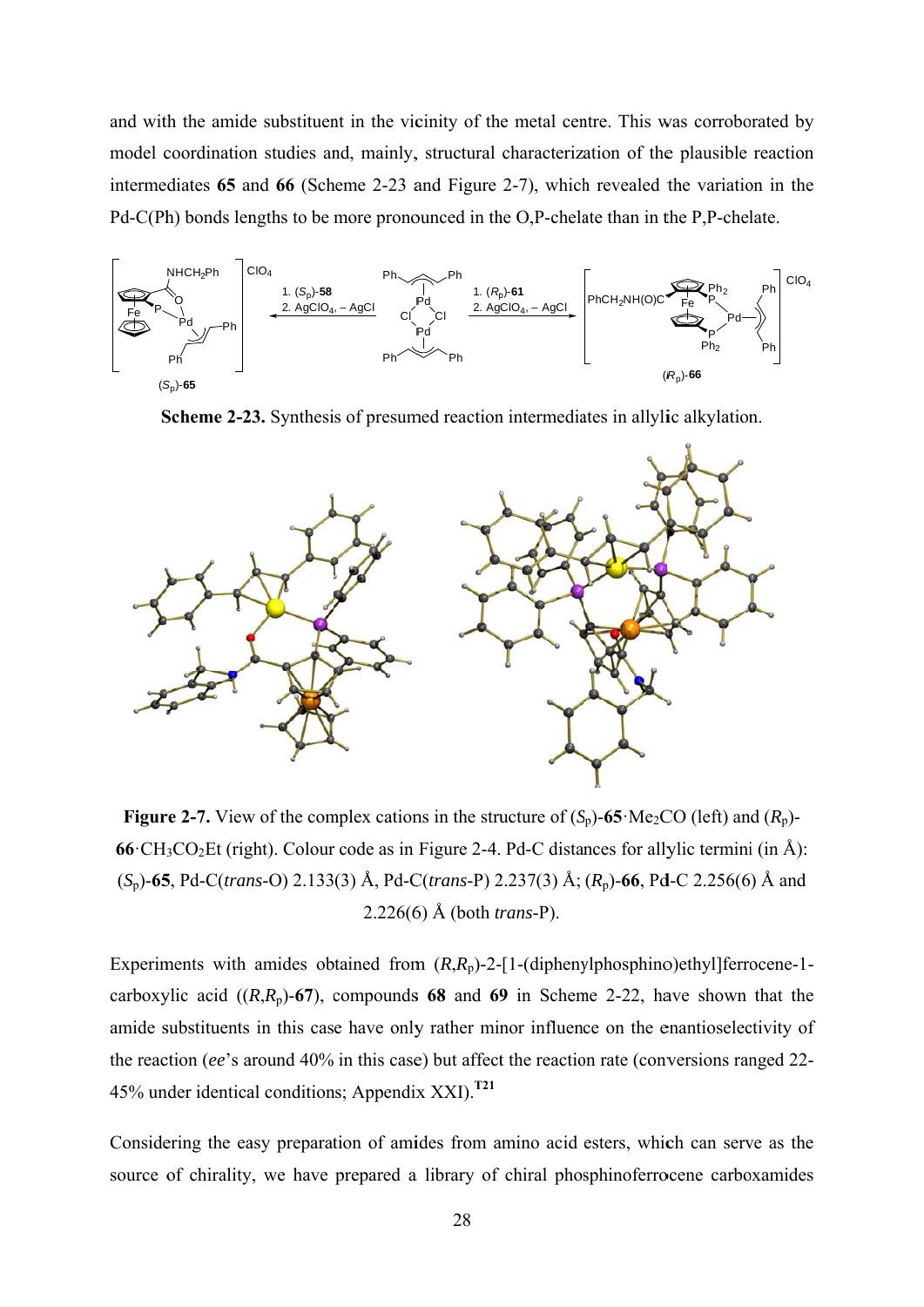and with the amide substituent in the vicinity of the metal centre. This was corroborated by model coordination studies and, mainly, structural characterization of the plausible reaction intermediates 65 and 66 (Scheme 2-23 and Figure 2-7), which revealed the variation in the Pd-C(Ph) bonds lengths to be more pronounced in the O,P-chelate than in the P,P-chelate.



Scheme 2-23. Synthesis of presumed reaction intermediates in allylic alkylation.



**Figure 2-7.** View of the complex cations in the structure of  $(S_p)$ -65 Me<sub>2</sub>CO (left) and  $(R_p)$ - $66 \text{ }CH_3CO_2Et$  (right). Colour code as in Figure 2-4. Pd-C distances for allylic termini (in Å):  $(S_p)$ -65, Pd-C(trans-O) 2.133(3) Å, Pd-C(trans-P) 2.237(3) Å; ( $R_p$ )-66, Pd-C 2.256(6) Å and  $2.226(6)$  Å (both *trans-P*).

Experiments with amides obtained from  $(R, R_p)$ -2-[1-(diphenylphosphino)ethyl]ferrocene-1carboxylic acid  $((R,R_p)-67)$ , compounds 68 and 69 in Scheme 2-22, have shown that the amide substituents in this case have only rather minor influence on the enantioselectivity of the reaction (ee's around 40% in this case) but affect the reaction rate (conversions ranged 22-45% under identical conditions; Appendix XXI).<sup>T21</sup>

Considering the easy preparation of amides from amino acid esters, which can serve as the source of chirality, we have prepared a library of chiral phosphinoferrocene carboxamides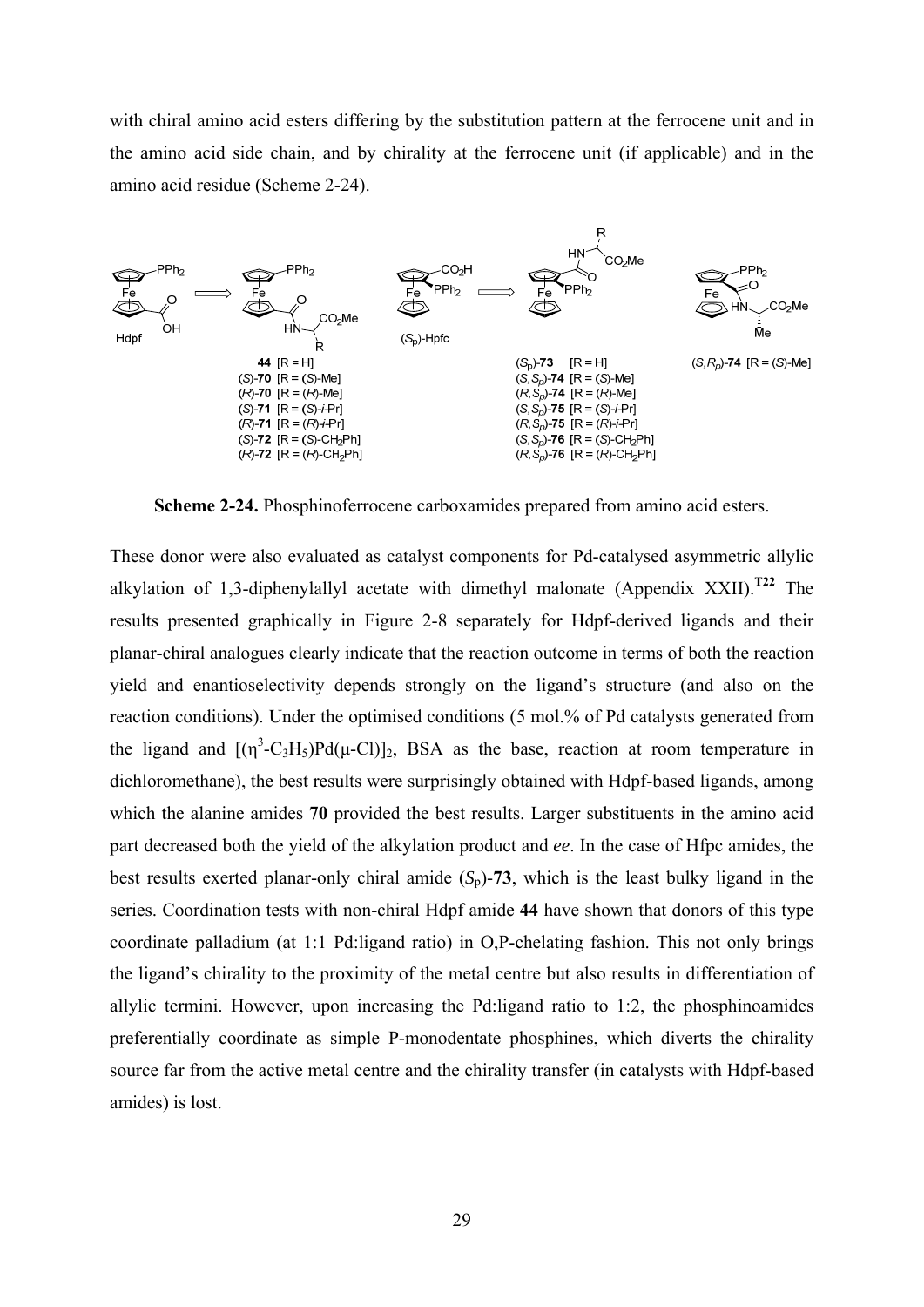with chiral amino acid esters differing by the substitution pattern at the ferrocene unit and in the amino acid side chain, and by chirality at the ferrocene unit (if applicable) and in the amino acid residue (Scheme 2-24).



**Scheme 2-24.** Phosphinoferrocene carboxamides prepared from amino acid esters.

These donor were also evaluated as catalyst components for Pd-catalysed asymmetric allylic alkylation of 1,3-diphenylallyl acetate with dimethyl malonate (Appendix XXII).**T22** The results presented graphically in Figure 2-8 separately for Hdpf-derived ligands and their planar-chiral analogues clearly indicate that the reaction outcome in terms of both the reaction yield and enantioselectivity depends strongly on the ligand's structure (and also on the reaction conditions). Under the optimised conditions (5 mol.% of Pd catalysts generated from the ligand and  $[(\eta^3-C_3H_5)Pd(\mu-C)]_2$ , BSA as the base, reaction at room temperature in dichloromethane), the best results were surprisingly obtained with Hdpf-based ligands, among which the alanine amides **70** provided the best results. Larger substituents in the amino acid part decreased both the yield of the alkylation product and *ee*. In the case of Hfpc amides, the best results exerted planar-only chiral amide  $(S_n)$ -73, which is the least bulky ligand in the series. Coordination tests with non-chiral Hdpf amide **44** have shown that donors of this type coordinate palladium (at 1:1 Pd:ligand ratio) in O,P-chelating fashion. This not only brings the ligand's chirality to the proximity of the metal centre but also results in differentiation of allylic termini. However, upon increasing the Pd:ligand ratio to 1:2, the phosphinoamides preferentially coordinate as simple P-monodentate phosphines, which diverts the chirality source far from the active metal centre and the chirality transfer (in catalysts with Hdpf-based amides) is lost.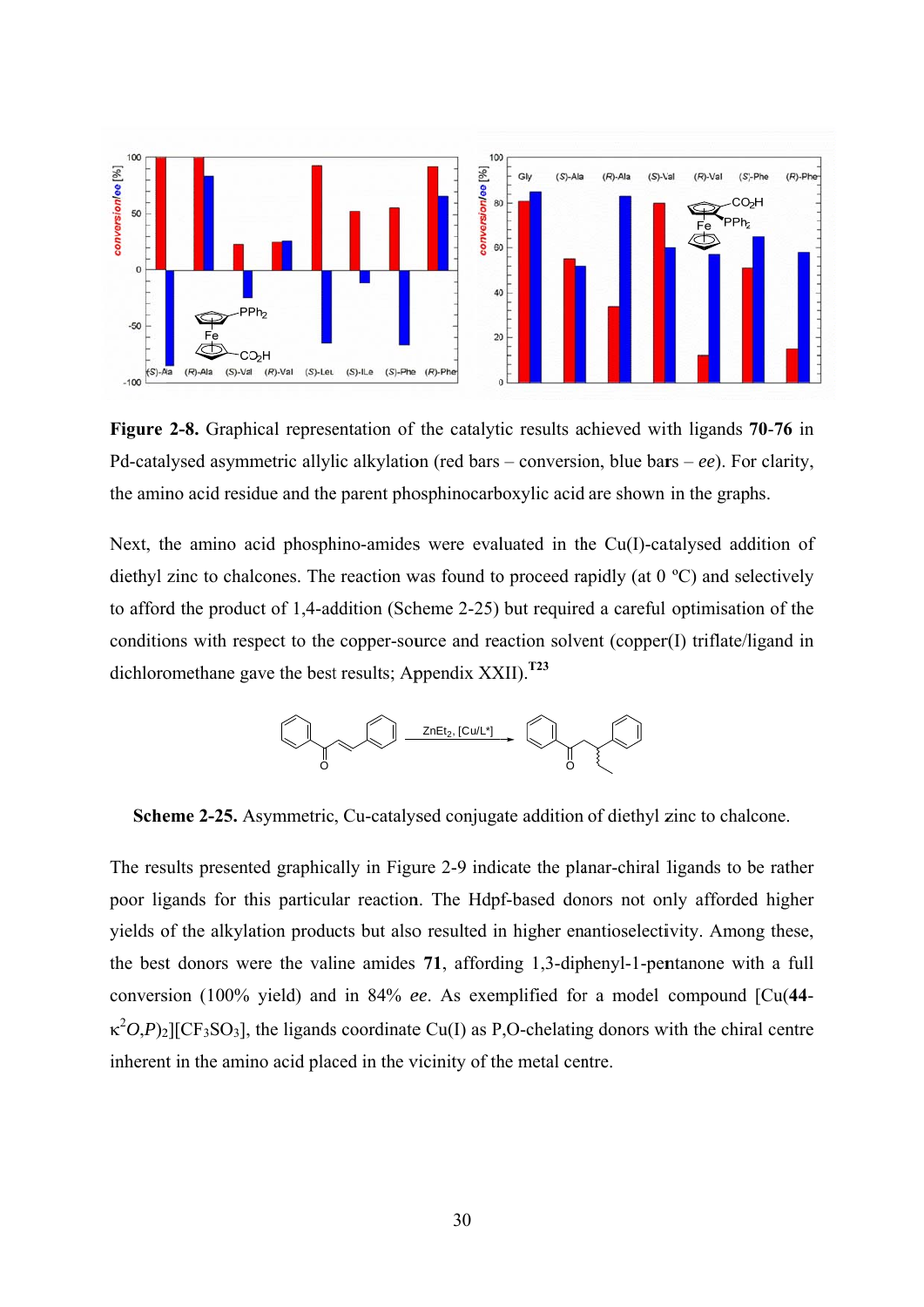

Figure 2-8. Graphical representation of the catalytic results achieved with ligands 70-76 in Pd-catalysed asymmetric allylic alkylation (red bars – conversion, blue bars – ee). For clarity, the amino acid residue and the parent phosphinocarboxylic acid are shown in the graphs.

Next, the amino acid phosphino-amides were evaluated in the  $Cu(I)$ -catalysed addition of diethyl zinc to chalcones. The reaction was found to proceed rapidly (at  $0^{\circ}$ C) and selectively to afford the product of 1.4-addition (Scheme 2-25) but required a careful optimisation of the conditions with respect to the copper-source and reaction solvent (copper(I) triflate/ligand in dichloromethane gave the best results: Appendix  $XXII$ .<sup>T23</sup>



Scheme 2-25. Asymmetric, Cu-catalysed conjugate addition of diethyl zinc to chalcone.

The results presented graphically in Figure 2-9 indicate the planar-chiral ligands to be rather poor ligands for this particular reaction. The Hdpf-based donors not only afforded higher yields of the alkylation products but also resulted in higher enantioselectivity. Among these, the best donors were the valine amides 71, affording 1,3-diphenyl-1-pentanone with a full conversion (100% yield) and in 84% ee. As exemplified for a model compound [Cu(44- $\kappa^2 O(P)$ <sub>2</sub>][CF<sub>3</sub>SO<sub>3</sub>], the ligands coordinate Cu(I) as P,O-chelating donors with the chiral centre inherent in the amino acid placed in the vicinity of the metal centre.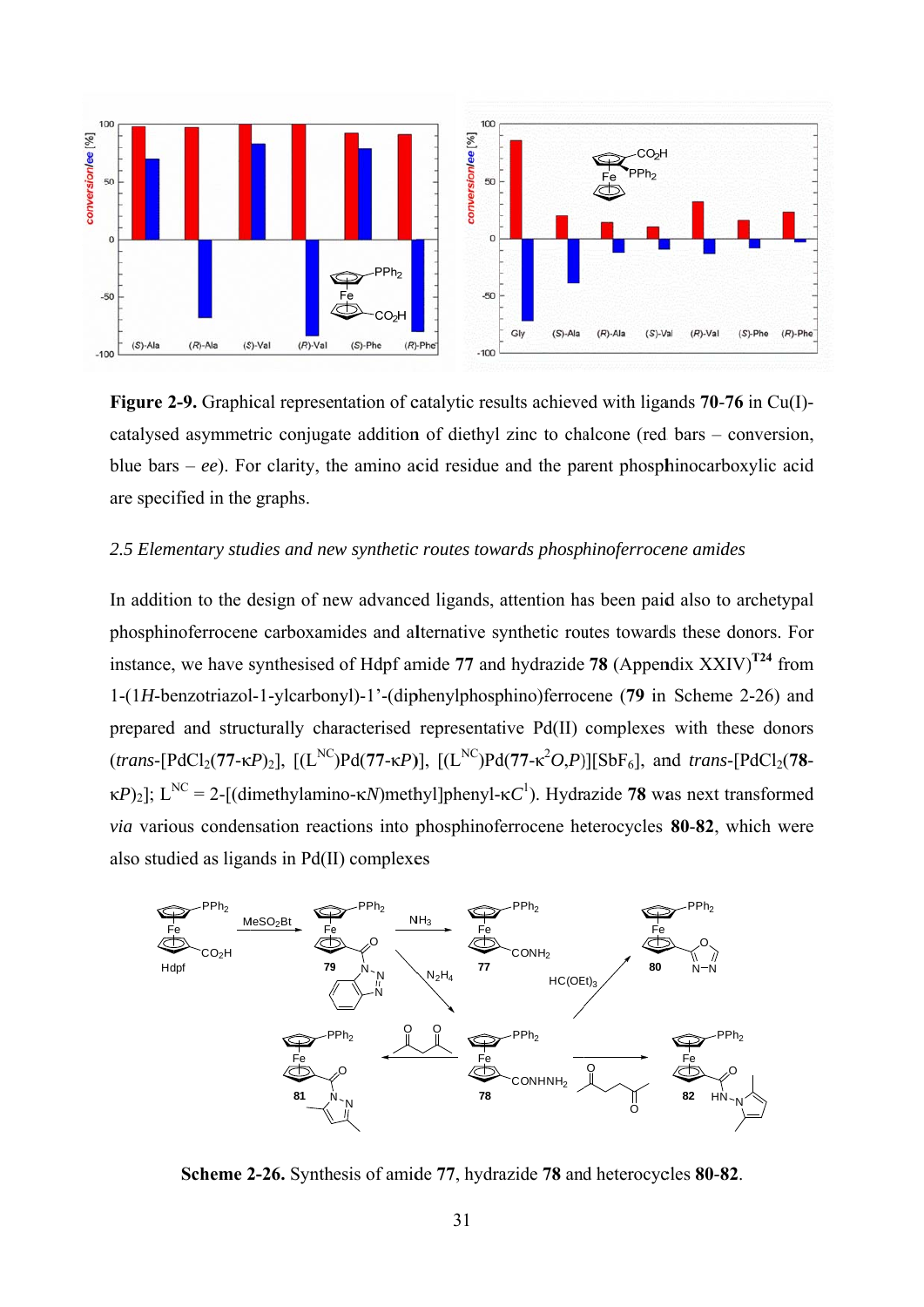

Figure 2-9. Graphical representation of catalytic results achieved with ligands 70-76 in Cu(I)catalysed asymmetric conjugate addition of diethyl zinc to chalcone (red bars – conversion, blue bars – ee). For clarity, the amino acid residue and the parent phosphinocarboxylic acid are specified in the graphs.

## 2.5 Elementary studies and new synthetic routes towards phosphinoferrocene amides

In addition to the design of new advanced ligands, attention has been paid also to archetypal phosphinoferrocene carboxamides and alternative synthetic routes towards these donors. For instance, we have synthesised of Hdpf amide 77 and hydrazide 78 (Appendix XXIV)<sup>T24</sup> from 1-(1H-benzotriazol-1-ylcarbonyl)-1'-(diphenylphosphino)ferrocene (79 in Scheme 2-26) and prepared and structurally characterised representative Pd(II) complexes with these donors (trans-[PdCl<sub>2</sub>(77-KP)<sub>2</sub>], [(L<sup>NC</sup>)Pd(77-KP)], [(L<sup>NC</sup>)Pd(77-K<sup>2</sup>O,P)][SbF<sub>6</sub>], and trans-[PdCl<sub>2</sub>(78- $\kappa P$ <sub>2</sub>]; L<sup>NC</sup> = 2-[(dimethylamino- $\kappa N$ )methyl]phenyl- $\kappa C$ <sup>1</sup>). Hydrazide 78 was next transformed via various condensation reactions into phosphinoferrocene heterocycles 80-82, which were also studied as ligands in Pd(II) complexes



Scheme 2-26. Synthesis of amide 77, hydrazide 78 and heterocycles 80-82.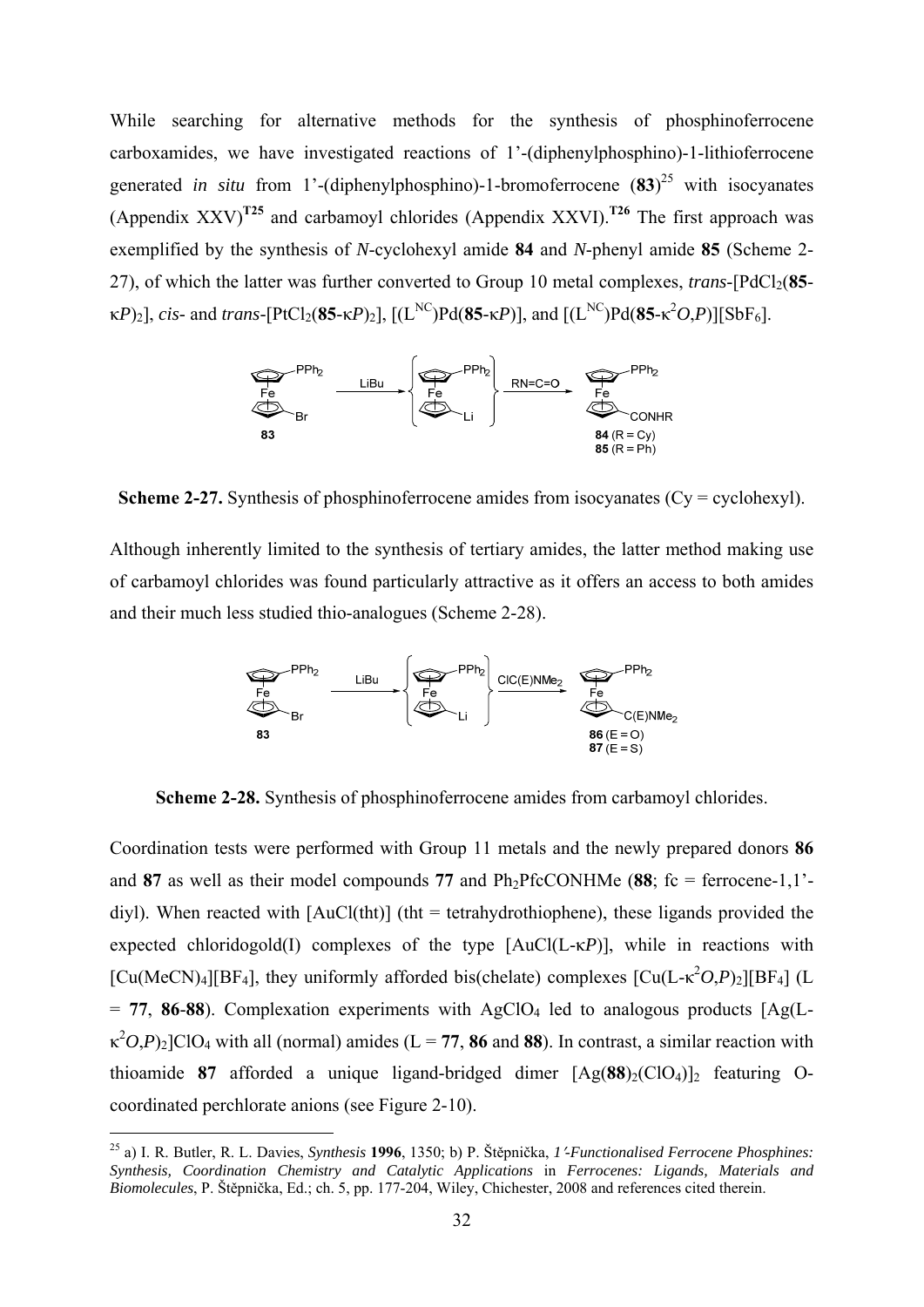While searching for alternative methods for the synthesis of phosphinoferrocene carboxamides, we have investigated reactions of 1'-(diphenylphosphino)-1-lithioferrocene generated *in situ* from 1'-(diphenylphosphino)-1-bromoferrocene  $(83)^{25}$  with isocyanates (Appendix XXV)**T25** and carbamoyl chlorides (Appendix XXVI).**T26** The first approach was exemplified by the synthesis of *N*-cyclohexyl amide **84** and *N*-phenyl amide **85** (Scheme 2- 27), of which the latter was further converted to Group 10 metal complexes, *trans*- $[PdCl<sub>2</sub>(85$ κ*P*)<sub>2</sub>], *cis*- and *trans*-[PtCl<sub>2</sub>(**85**-κ*P*)<sub>2</sub>], [(L<sup>NC</sup>)Pd(**85**-κ*P*)], and [(L<sup>NC</sup>)Pd(**85**-κ<sup>2</sup>*O,P*)][SbF<sub>6</sub>].



**Scheme 2-27.** Synthesis of phosphinoferrocene amides from isocyanates (Cy = cyclohexyl).

Although inherently limited to the synthesis of tertiary amides, the latter method making use of carbamoyl chlorides was found particularly attractive as it offers an access to both amides and their much less studied thio-analogues (Scheme 2-28).



**Scheme 2-28.** Synthesis of phosphinoferrocene amides from carbamoyl chlorides.

Coordination tests were performed with Group 11 metals and the newly prepared donors **86** and 87 as well as their model compounds 77 and  $Ph_2PfcCONHMe$  (88;  $fc = ferrocene-1,1'$ diyl). When reacted with  $[AuCl(tht)]$  (tht = tetrahydrothiophene), these ligands provided the expected chloridogold(I) complexes of the type [AuCl(L-κ*P*)], while in reactions with [Cu(MeCN)<sub>4</sub>][BF<sub>4</sub>], they uniformly afforded bis(chelate) complexes [Cu(L- $\kappa^2O$ ,*P*)<sub>2</sub>][BF<sub>4</sub>] (L  $= 77, 86-88$ ). Complexation experiments with AgClO<sub>4</sub> led to analogous products  $[Ag(L \kappa^2 O$ ,*P*)<sub>2</sub>]ClO<sub>4</sub> with all (normal) amides (L = 77, 86 and 88). In contrast, a similar reaction with thioamide 87 afforded a unique ligand-bridged dimer  $[Ag(88)_2(CIO_4)]_2$  featuring Ocoordinated perchlorate anions (see Figure 2-10).

<sup>25</sup> a) I. R. Butler, R. L. Davies, *Synthesis* **1996**, 1350; b) P. Štěpnička, *1-Functionalised Ferrocene Phosphines: Synthesis, Coordination Chemistry and Catalytic Applications* in *Ferrocenes: Ligands, Materials and Biomolecules*, P. Štěpnička, Ed.; ch. 5, pp. 177-204, Wiley, Chichester, 2008 and references cited therein.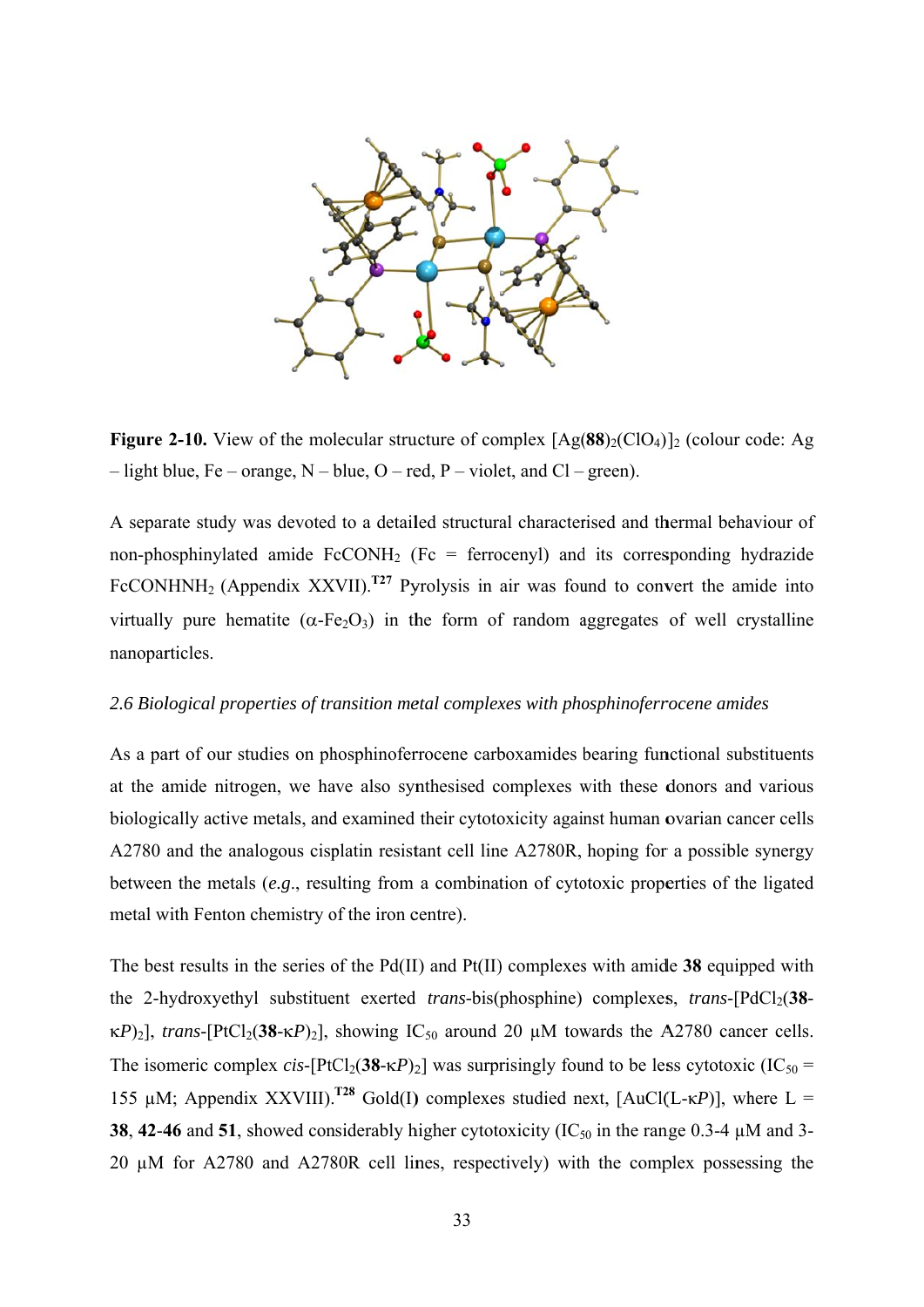

**Figure 2-10.** View of the molecular structure of complex  $[Ag(88)_2(CIO_4)]_2$  (colour code: Ag  $-$  light blue, Fe – orange, N – blue, O – red, P – violet, and Cl – green).

A separate study was devoted to a detailed structural characterised and thermal behaviour of non-phosphinylated amide  $FcCONH_2$  (Fc = ferrocenyl) and its corresponding hydrazide FcCONHNH<sub>2</sub> (Appendix XXVII).<sup> $T27$ </sup> Pyrolysis in air was found to convert the amide into virtually pure hematite ( $\alpha$ -Fe<sub>2</sub>O<sub>3</sub>) in the form of random aggregates of well crystalline nanoparticles.

# 2.6 Biological properties of transition metal complexes with phosphinoferrocene amides

As a part of our studies on phosphinoferrocene carboxamides bearing functional substituents at the amide nitrogen, we have also synthesised complexes with these donors and various biologically active metals, and examined their cytotoxicity against human ovarian cancer cells A2780 and the analogous cisplatin resistant cell line A2780R, hoping for a possible synergy between the metals  $(e.g.,$  resulting from a combination of cytotoxic properties of the ligated metal with Fenton chemistry of the iron centre).

The best results in the series of the  $Pd(II)$  and  $Pf(II)$  complexes with amide 38 equipped with the 2-hydroxyethyl substituent exerted *trans*-bis(phosphine) complexes, *trans*-[PdCl<sub>2</sub>(38- $\kappa P_{21}$ , trans-[PtCl<sub>2</sub>(38- $\kappa P_{21}$ , showing IC<sub>50</sub> around 20  $\mu$ M towards the A2780 cancer cells. The isomeric complex cis-[PtCl<sub>2</sub>(38- $\kappa P$ )<sub>2</sub>] was surprisingly found to be less cytotoxic (IC<sub>50</sub> = 155 uM; Appendix XXVIII).<sup>T28</sup> Gold(I) complexes studied next, [AuCl(L- $\kappa P$ )], where L = 38, 42-46 and 51, showed considerably higher cytotoxicity ( $IC_{50}$  in the range 0.3-4  $\mu$ M and 3-20 µM for A2780 and A2780R cell lines, respectively) with the complex possessing the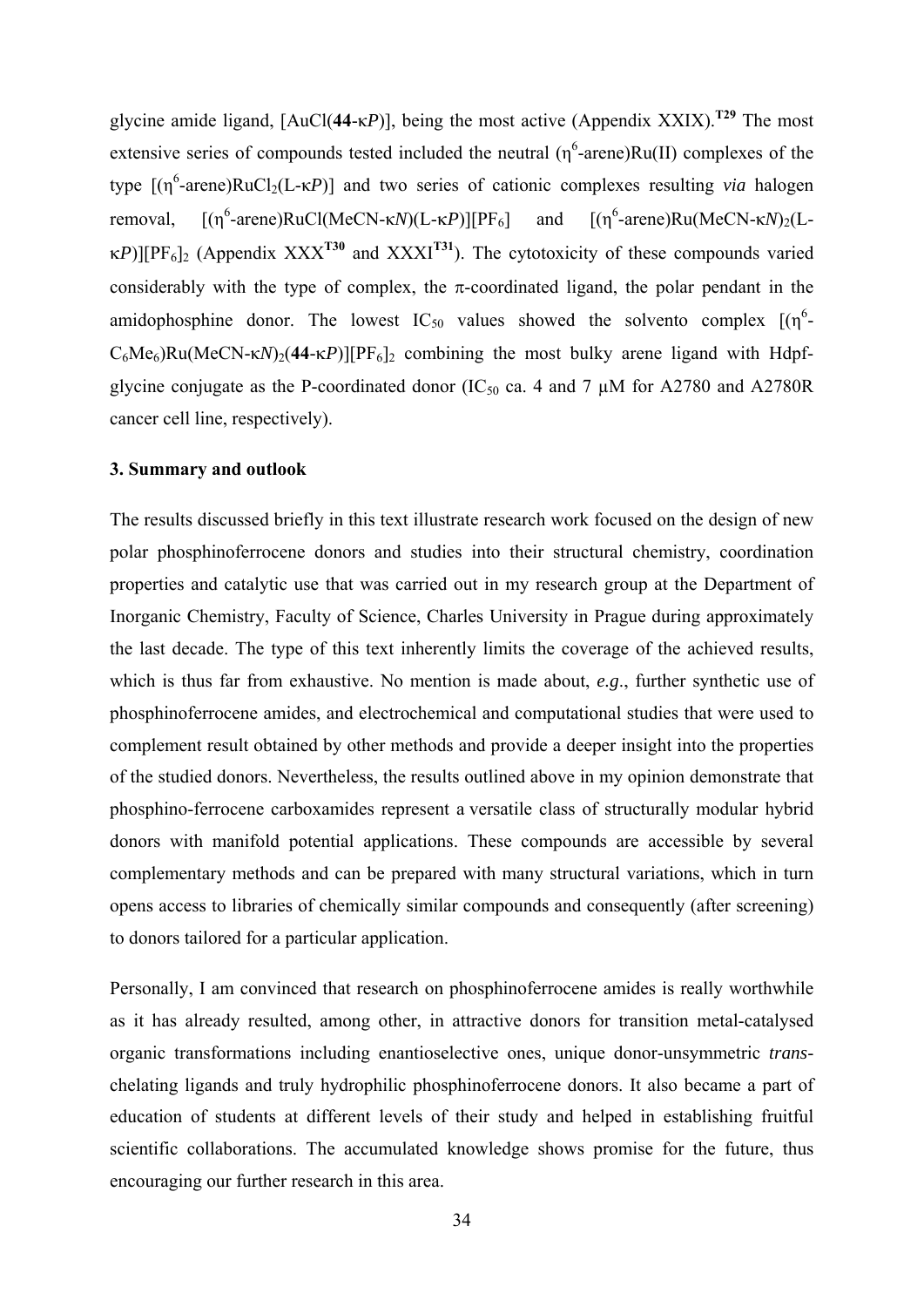glycine amide ligand, [AuCl(**44**-κ*P*)], being the most active (Appendix XXIX).**T29** The most extensive series of compounds tested included the neutral  $(\eta^6$ -arene)Ru(II) complexes of the type  $[(η<sup>6</sup>-arene)RuCl<sub>2</sub>(L-κP)]$  and two series of cationic complexes resulting *via* halogen removal,  $-$ arene)RuCl(MeCN- $\kappa N$ )(L- $\kappa P$ )][PF<sub>6</sub>] and [( $\eta^6$ -arene)Ru(MeCN- $\kappa N$ )<sub>2</sub>(L $p_{F6}$ [PF<sub>6</sub>]<sub>2</sub> (Appendix XXX<sup>T30</sup> and XXXI<sup>T31</sup>). The cytotoxicity of these compounds varied considerably with the type of complex, the  $\pi$ -coordinated ligand, the polar pendant in the amidophosphine donor. The lowest  $IC_{50}$  values showed the solvento complex  $[(\eta^6 C_6Me_6$ )Ru(MeCN-κ*N*)<sub>2</sub>(44-κ*P*)][PF<sub>6</sub>]<sub>2</sub> combining the most bulky arene ligand with Hdpfglycine conjugate as the P-coordinated donor (IC<sub>50</sub> ca. 4 and 7  $\mu$ M for A2780 and A2780R cancer cell line, respectively).

## **3. Summary and outlook**

The results discussed briefly in this text illustrate research work focused on the design of new polar phosphinoferrocene donors and studies into their structural chemistry, coordination properties and catalytic use that was carried out in my research group at the Department of Inorganic Chemistry, Faculty of Science, Charles University in Prague during approximately the last decade. The type of this text inherently limits the coverage of the achieved results, which is thus far from exhaustive. No mention is made about, *e.g*., further synthetic use of phosphinoferrocene amides, and electrochemical and computational studies that were used to complement result obtained by other methods and provide a deeper insight into the properties of the studied donors. Nevertheless, the results outlined above in my opinion demonstrate that phosphino-ferrocene carboxamides represent a versatile class of structurally modular hybrid donors with manifold potential applications. These compounds are accessible by several complementary methods and can be prepared with many structural variations, which in turn opens access to libraries of chemically similar compounds and consequently (after screening) to donors tailored for a particular application.

Personally, I am convinced that research on phosphinoferrocene amides is really worthwhile as it has already resulted, among other, in attractive donors for transition metal-catalysed organic transformations including enantioselective ones, unique donor-unsymmetric *trans*chelating ligands and truly hydrophilic phosphinoferrocene donors. It also became a part of education of students at different levels of their study and helped in establishing fruitful scientific collaborations. The accumulated knowledge shows promise for the future, thus encouraging our further research in this area.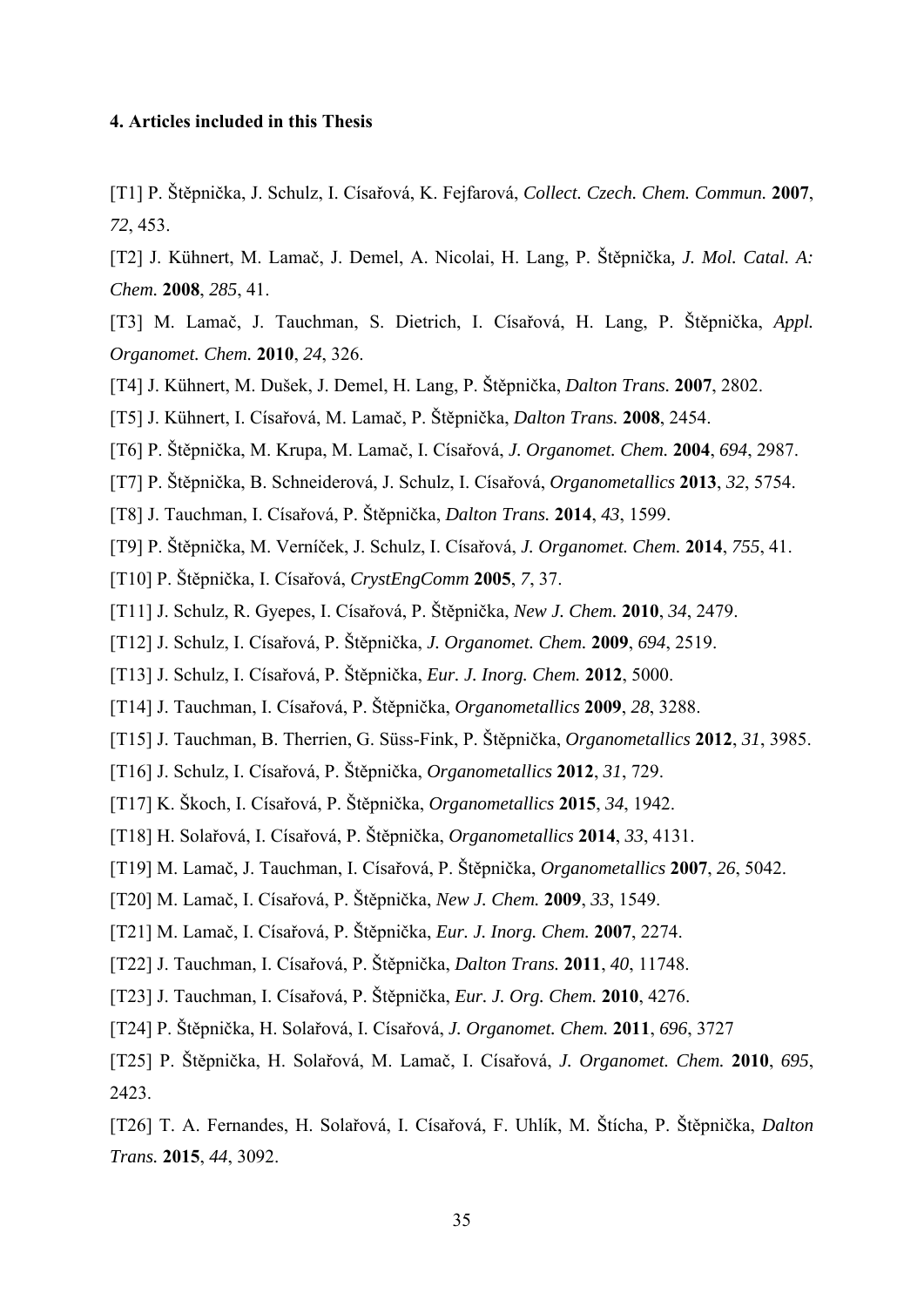## **4. Articles included in this Thesis**

[T1] P. Štěpnička, J. Schulz, I. Císařová, K. Fejfarová, *Collect. Czech. Chem. Commun.* **2007**, *72*, 453.

[T2] J. Kühnert, M. Lamač, J. Demel, A. Nicolai, H. Lang, P. Štěpnička*, J. Mol. Catal. A: Chem.* **2008**, *285*, 41.

[T3] M. Lamač, J. Tauchman, S. Dietrich, I. Císařová, H. Lang, P. Štěpnička, *Appl. Organomet. Chem.* **2010**, *24*, 326.

- [T4] J. Kühnert, M. Dušek, J. Demel, H. Lang, P. Štěpnička, *Dalton Trans.* **2007**, 2802.
- [T5] J. Kühnert, I. Císařová, M. Lamač, P. Štěpnička, *Dalton Trans.* **2008**, 2454.
- [T6] P. Štěpnička, M. Krupa, M. Lamač, I. Císařová, *J. Organomet. Chem.* **2004**, *694*, 2987.
- [T7] P. Štěpnička, B. Schneiderová, J. Schulz, I. Císařová, *Organometallics* **2013**, *32*, 5754.
- [T8] J. Tauchman, I. Císařová, P. Štěpnička, *Dalton Trans.* **2014**, *43*, 1599.
- [T9] P. Štěpnička, M. Verníček, J. Schulz, I. Císařová, *J. Organomet. Chem.* **2014**, *755*, 41.
- [T10] P. Štěpnička, I. Císařová, *CrystEngComm* **2005**, *7*, 37.
- [T11] J. Schulz, R. Gyepes, I. Císařová, P. Štěpnička, *New J. Chem.* **2010**, *34*, 2479.
- [T12] J. Schulz, I. Císařová, P. Štěpnička, *J. Organomet. Chem.* **2009**, *694*, 2519.
- [T13] J. Schulz, I. Císařová, P. Štěpnička, *Eur. J. Inorg. Chem.* **2012**, 5000.
- [T14] J. Tauchman, I. Císařová, P. Štěpnička, *Organometallics* **2009**, *28*, 3288.
- [T15] J. Tauchman, B. Therrien, G. Süss-Fink, P. Štěpnička, *Organometallics* **2012**, *31*, 3985.
- [T16] J. Schulz, I. Císařová, P. Štěpnička, *Organometallics* **2012**, *31*, 729.
- [T17] K. Škoch, I. Císařová, P. Štěpnička, *Organometallics* **2015**, *34*, 1942.
- [T18] H. Solařová, I. Císařová, P. Štěpnička, *Organometallics* **2014**, *33*, 4131.
- [T19] M. Lamač, J. Tauchman, I. Císařová, P. Štěpnička, *Organometallics* **2007**, *26*, 5042.
- [T20] M. Lamač, I. Císařová, P. Štěpnička, *New J. Chem.* **2009**, *33*, 1549.
- [T21] M. Lamač, I. Císařová, P. Štěpnička, *Eur. J. Inorg. Chem.* **2007**, 2274.
- [T22] J. Tauchman, I. Císařová, P. Štěpnička, *Dalton Trans.* **2011**, *40*, 11748.
- [T23] J. Tauchman, I. Císařová, P. Štěpnička, *Eur. J. Org. Chem.* **2010**, 4276.
- [T24] P. Štěpnička, H. Solařová, I. Císařová, *J. Organomet. Chem.* **2011**, *696*, 3727
- [T25] P. Štěpnička, H. Solařová, M. Lamač, I. Císařová, *J. Organomet. Chem.* **2010**, *695*, 2423.

[T26] T. A. Fernandes, H. Solařová, I. Císařová, F. Uhlík, M. Štícha, P. Štěpnička, *Dalton Trans.* **2015**, *44*, 3092.